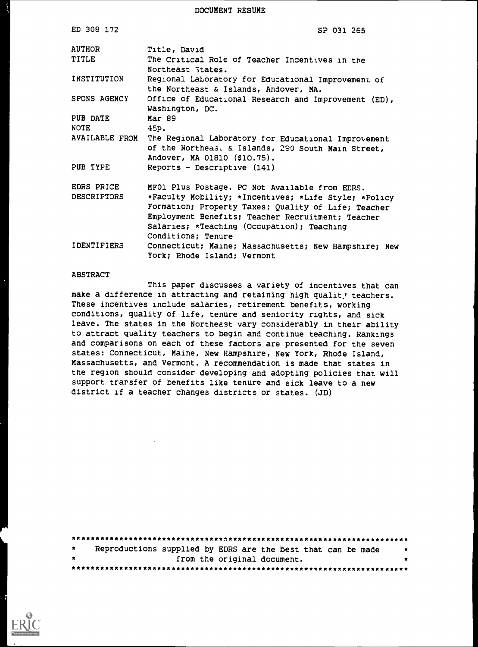DOCUMENT RESUME

| ED 308 172         | SP 031 265                                                                                                                                |
|--------------------|-------------------------------------------------------------------------------------------------------------------------------------------|
| <b>AUTHOR</b>      | Title, David                                                                                                                              |
| <b>TITLE</b>       | The Critical Role of Teacher Incentives in the<br>Northeast States.                                                                       |
| INSTITUTION        | Regional Laboratory for Educational Improvement of<br>the Northeast & Islands, Andover, MA.                                               |
| SPONS AGENCY       | Office of Educational Research and Improvement (ED),<br>Washington, DC.                                                                   |
| PUB DATE           | Mar 89                                                                                                                                    |
| <b>NOTE</b>        | 45p.                                                                                                                                      |
| AVAILABLE FROM     | The Regional Laboratory for Educational Improvement<br>of the Northeast & Islands, 290 South Main Street,<br>Andover, MA 01810 (\$10.75). |
| PUB TYPE           | Reports - Descriptive $(141)$                                                                                                             |
| EDRS PRICE         | MFO1 Plus Postage. PC Not Available from EDRS.                                                                                            |
| <b>DESCRIPTORS</b> | *Faculty Mobility; *Incentives; *Life Style; *Policy                                                                                      |
|                    | Formation; Property Taxes; Quality of Life; Teacher                                                                                       |
|                    | Employment Benefits; Teacher Recruitment; Teacher                                                                                         |
|                    | Salaries; *Teaching (Occupation); Teaching                                                                                                |
|                    | Conditions; Tenure                                                                                                                        |
| IDENTIFIERS        | Connecticut; Maine; Massachusetts; New Hampshire; New<br>York; Rhode Island; Vermont                                                      |

#### ABSTRACT

This paper discusses a variety of incentives that can make a difference in attracting and retaining high qualit! teachers. These incentives include salaries, retirement benefits, working conditions, quality of life, tenure and seniority rights, and sick leave. The states in the Northeast vary considerably in their ability to attract quality teachers to begin and continue teaching. Rankings and comparisons on each of these factors are presented for the seven states: Connecticut, Maine, New Hampshire, New York, Rhode Island, Massachusetts, and Vermont. A recommendation is made that states in the region should consider developing and adopting policies that will support trarsfer of benefits like tenure and sick leave to a new district if a teacher changes districts or states. (JD)

| $\star$ | Reproductions supplied by EDRS are the best that can be made | 大家 |
|---------|--------------------------------------------------------------|----|
| $\star$ | from the original document.                                  |    |
|         |                                                              |    |

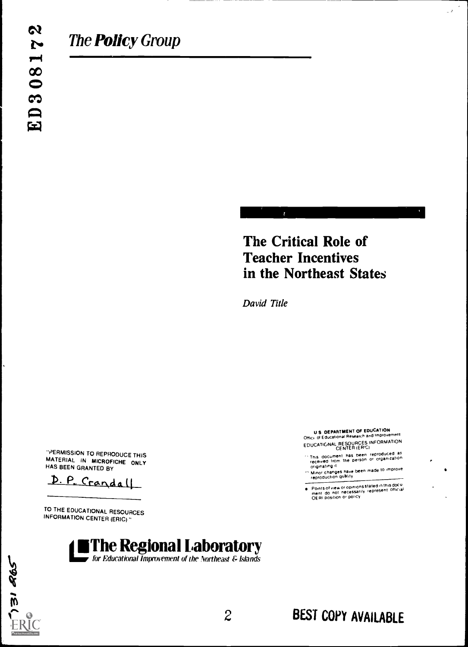# The Critical Role of Teacher Incentives in the Northeast States

David Title

"PERM/SSION TO REPRODUCE THIS MATERIAL IN MICROFICHE ONLY HAS BEEN GRANTED BY

D. P. Crandall

TO THE EDUCATIONAL RESOURCES INFORMATION CENTER (ERIC)"



31 265

The Regional Laboratory for Educational Improvement of the Northeast & Islands

U S. DEPARTMENT OF EDUCATION<br>Offici- of Educational Research and Improvement Offici of Educational Research and Improvement EDUCATIONAL RESOURCES INFORMATION CENTER (ER'CI

11111111111111111mimimm

 $\mathbb{R}^2$ 

- This document has been reproduced as<br>received from the person or organization<br>originating it
- " Minor changes have been made to improve<br>reproduction quality
- Points of view or opinions stated in this docu<br>ment: do: not: necessarily: represent: official<br>QERI position or policy

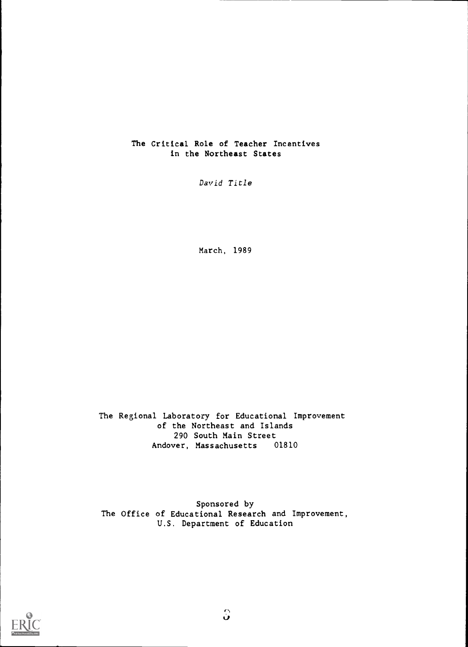## The Critical Role of Teacher Incentives in the Northeast States

David Title

March, 1989

The Regional Laboratory for Educational Improvement of the Northeast and Islands 290 South Main Street Andover, Massachusetts 01810

Sponsored by The Office of Educational Research and Improvement, U.S. Department of Education

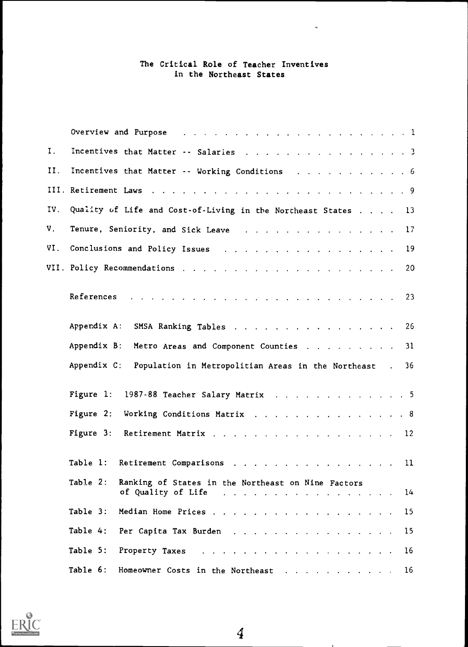## The Critical Role of Teacher Inventives in the Northeast States

 $\ddot{\phantom{a}}$ 

|     | Overview and Purpose (e.g. $\ldots$ and $\ldots$ and $\ldots$ and $\ldots$ and $\ldots$ and $\ldots$ and $\ldots$                                                                                                                   |  |
|-----|-------------------------------------------------------------------------------------------------------------------------------------------------------------------------------------------------------------------------------------|--|
| Ι.  | Incentives that Matter -- Salaries 3                                                                                                                                                                                                |  |
| H.  | Incentives that Matter -- Working Conditions 6                                                                                                                                                                                      |  |
|     |                                                                                                                                                                                                                                     |  |
| IV. | Quality of Life and Cost-of-Living in the Northeast States 13                                                                                                                                                                       |  |
| V.  | Tenure, Seniority, and Sick Leave (a) and (b) and (b) and (b) and (b) and (b) and (b) and (b) and (b) and (b) and (b) and (b) and (b) and (b) and (b) and (b) and (b) and (b) and (b) and (b) and (b) and (b) and (b) and (b)<br>17 |  |
| VI. | Conclusions and Policy Issues (Allen Barnett and Allen Barnett and Policy Issues (Allen Barnett and Allen Barnett and Allen Barnett and Allen Barnett and Allen Barnett and Allen Barnett and Allen Barnett and Allen Barnett<br>19 |  |
|     | -20                                                                                                                                                                                                                                 |  |
|     |                                                                                                                                                                                                                                     |  |
|     | Appendix A:<br>26<br>SMSA Ranking Tables                                                                                                                                                                                            |  |
|     | Appendix B:<br>Metro Areas and Component Counties<br>31                                                                                                                                                                             |  |
|     | Appendix C:<br>Population in Metropolitian Areas in the Northeast.<br>36                                                                                                                                                            |  |
|     | Figure 1:<br>1987-88 Teacher Salary Matrix 5                                                                                                                                                                                        |  |
|     | Figure 2:<br>Working Conditions Matrix 8                                                                                                                                                                                            |  |
|     | Figure 3:<br>Retirement Matrix 12                                                                                                                                                                                                   |  |
|     | Table 1:<br>Retirement Comparisons 11                                                                                                                                                                                               |  |
|     | Table 2:<br>Ranking of States in the Northeast on Nine Factors<br>of Quality of Life $\ldots$ 14                                                                                                                                    |  |
|     | Table 3:<br>15                                                                                                                                                                                                                      |  |
|     | Table 4:<br>Per Capita Tax Burden<br>15                                                                                                                                                                                             |  |
|     | Table 5:<br>Property Taxes and a subset of the set of the set of the set of the set of the set of the set of the set of the<br>16                                                                                                   |  |
|     | Table 6:<br>Homeowner Costs in the Northeast 16                                                                                                                                                                                     |  |

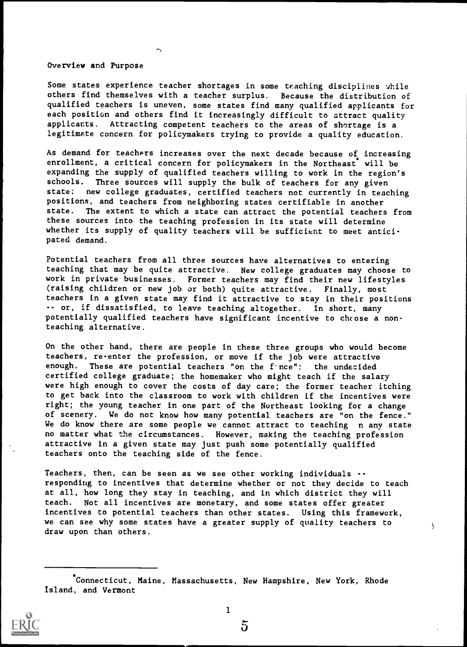Overview and Purpose

Some states experience teacher shortages in some teaching disciplines while others find themselves with a teacher surplus. Because the distribution of qualified teachers is uneven, some states find many qualified applicants for each position and others find it increasingly difficult to attract quality applicants. Attracting competent teachers to the areas of shortage is a legitimate concern for policymakers trying to provide a quality education.

As demand for teachers increases over the next decade because of increasing enrollment, a critical concern for policymakers in the Northeast will be expanding the supply of qualified teachers willing to work in the region's<br>schools. Three sources will supply the bulk of teachers for any given Three sources will supply the bulk of teachers for any given state: new college graduates, certified teachers not currently in teaching positions, and teachers from neighboring states certifiable in another state. The extent to which a state can attract the potential teachers from these sources into the teaching profession in its state will determine whether its supply of quality teachers will be sufficient to meet anticipated demand.

Potential teachers from all three sources have alternatives to entering teaching that may be quite attractive. New college graduates may choose to work in private businesses. Former teachers may find their new lifestyles (raising children or new job or both) quite attractive. Finally, most teachers in a given state may find it attractive to stay in their positions -- or, if dissatisfied, to leave teaching altogether. In short, many potentially qualified teachers have significant incentive to choose a nonteaching alternative.

On the other hand, there are people in these three groups who would become teachers, re-enter the profession, or move if the job were attractive enough. These are potential teachers "on the froce": the undecided certified college graduate; the homemaker who might teach if the salary were high enough to cover the costs of day care; the former teacher itching to get back into the classroom to work with children if the incentives were right; the young teacher in one part of the Northeast looking for a change of scenery. We do not know how many potential teachers are "on the fence." We do know there are some people we cannot attract to teaching n any state no matter what the circumstances. However, making the teaching profession attractive in a given state may just push some potentially qualified teachers onto the teaching side of the fence.

Teachers, then, can be seen as we see other working individuals - responding to incentives that determine whether or not they decide to teach at all, how long they stay in teaching, and in which district they will teach. Not all incentives are monetary, and some states offer greater incentives to potential teachers than other states. Using this framework, we can see why some states have a greater supply of quality teachers to draw upon than others.

<sup>\*</sup>Connecticut, Maine, Massachusetts, New Hampshire, New York, Rhode Island, and Vermont

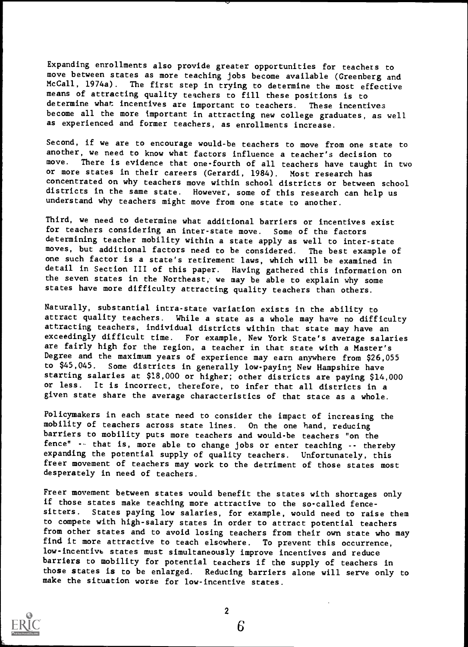Expanding enrollments also provide greater opportunities for teachers to move between states as more teaching jobs become available (Greenberg and McCall, 1974a). The first step in trying to determine the most offective The first step in trying to determine the most effective means of attracting quality teachers to fill these positions is to determine what incentives are important to teachers. These incentives become all the more important in attracting new college graduates, as well as experienced and former teachers, as enrollments increase.

Second, if we are to encourage would-be teachers to move from one state to another, we need to know what factors influence a teacher's decision to move. There is evidence that one-fourth of all teachers have taught in There is evidence that one-fourth of all teachers have taught in two or more states in their careers (Gerardi, 1984). Most research has concentrated on why teachers move within school districts or between school districts in the same state. However, some of this research can help us understand why teachers might move from one state to another.

Third, we need to determine what additional barriers or incentives exist for teachers considering an inter-state move. Some of the factors determining teacher mobility within a state apply as well to inter-state moves, but additional factors need to be considered. The best example of one such factor is a state's retirement laws, which will be examined in detail in Section III of this paper. Having gathered this information on the seven states in the Northeast, we may be able to explain why some states have more difficulty attracting quality teachers than others.

Naturally, substantial intra-state variation exists in the ability to attract quality teachers. While a state as a whole may have no difficulty attracting teachers, individual districts within that state may have an exceedingly difficult time. For example, New York State's average salaries are fairly high for the region, a teacher in that state with a Master's Degree and the maximum years of experience may earn anywhere from \$26,055<br>to \$45,045. Some districts in generally low-paying New Hampshire have Some districts in generally low-paying New Hampshire have starting salaries at \$18,000 or higher; other districts are paying \$14,000 or less. It is incorrect, therefore, to infer that all districts in a given state share the average characteristics of that stace as a whole.

Policymakers in each state need to consider the impact of increasing the mobility of teachers across state lines. On the one hand, reducing barriers to mobility puts more teachers and would-be teachers "on the fence" -- that is, more able to change jobs or enter teaching -- thereby expanding the potential supply of quality teachers. Unfortunately, this freer movement of teachers may work to the detriment of those states most desperately in need of teachers.

Freer movement between states would benefit the states with shortages only if those states make teaching more attractive to the so-called fencesitters. States paying low salaries, for example, would need to raise them to compete with high-salary states in order to attract potential teachers from other states and to avoid losing teachers from their own state who may find it more attractive to teach elsewhere. To prevent this occurrence, low - incentive states must simultaneously improve incentives and reduce barriers to mobility for potential teachers if the supply of teachers in those states is to be enlarged. Reducing barriers alone will serve only to make the situation worse for low-incentive states.



2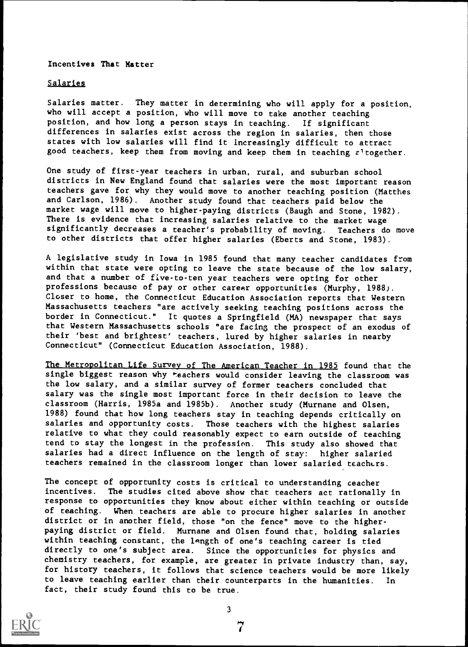#### Incentives That Matter

#### **Salaries**

Salaries matter. They matter in determining who will apply for a position, who will accept a position, who will move to take another teaching position, and how long a person stays in teaching. If significant differences in salaries exist across the region in salaries, then those states with low salaries will find it Increasingly difficult to attract good teachers, keep them from moving and keep them in teaching  $\varepsilon^1$  together.

One study of first-year teachers in urban, rural, and suburban school districts in New England found that salaries were the most important reason teachers gave for why they would move to another teaching position (Matthes and Carlson, 1986). Another study found that teachers paid below the market wage will move to higher-paying districts (Baugh and Stone, 1982). There is evidence that increasing salaries relative to the market wage significantly decreases a teacher's probability of moving. Teachers do move to other districts that offer higher salaries (Eberts and Stone, 1983).

A legislative study in Iowa in 1985 found that many teacher candidates from within that state were opting to leave the state because of the low salary, and that a number of five-to-ten year teachers were opting for other professions because of pay or other career opportunities (Murphy, 1988). Closer to home, the Connecticut Education Association reports that Western Massachusetts teachers "are actively seeking teaching positions across the border in Connecticut." It quotes a Springfield (MA) newspaper that says that Western Massachusetts schools "are facing the prospect of an exodus of their 'best and brightest' teachers, lured by higher salaries in nearby Connecticut" (Connecticut Education Association, 1988).

The Metropolitan Life Survey of The American Teacher in 1985 found that the single biggest reason why \*eachers would consider leaving the classroom was the low salary, and a similar survey of former teachers concluded that salary was the single most important force in their decision to leave the classroom (Harris, 1985a and 1985b). Another study (Murnane and Olsen, 1988) found that how long teachers stay in teaching depends critically on salaries and opportunity costs. Those teachers with the highest salaries Those teachers with the highest salaries relative to what they could reasonably expect to earn outside of teaching tend to stay the longest in the profession. This study also showed that salaries had a direct influence on the length of stay: higher salaried teachers remained in the classroom longer than lower salaried teachers.

The concept of opportunity costs is critical to understanding ceacher incentives. The studies cited above show that teachers act rationally in response to opportunities they know about either within teaching or outside of teaching. When teachers are able to procure higher salaries in another district or in another field, those "on the fence" move to the higherpaying district or field. Murnane and Olsen found that, holding salaries within teaching constant, the length of one's teaching career is tied directly to one's subject area. Since the opportunities for physics and chemistry teachers, for example, are greater in private industry than, say, for history teachers, it follows that science teachers would be more likely to leave teaching earlier than their counterparts in the humanities. fact, their study found this to be true.

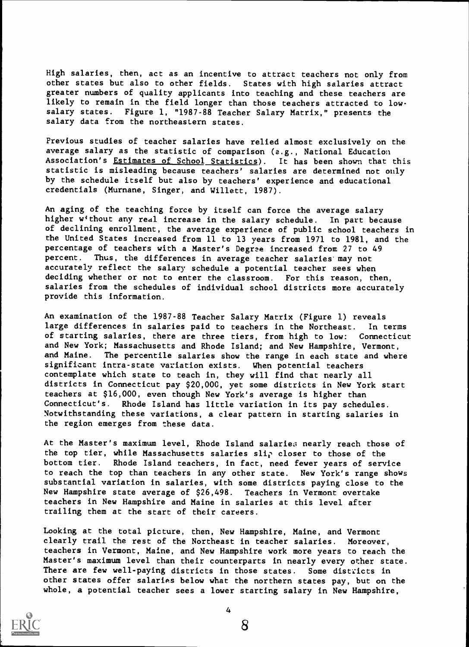High salaries, then, act as an incentive to attract teachers not only from other states but also to other fields. States with high salaries attract greater numbers of quality applicants into teaching and these teachers are likely to remain in the field longer than those teachers attracted to lowsalary states. Figure 1, "1987-88 Teacher Salary Matrix," presents the salary data from the northeastern states.

Previous studies of teacher salaries have relied almost exclusively on the average salary as the statistic of comparison (e.g., National Education Association's Estimates of School Statistics). It has been shown that this statistic is misleading because teachers' salaries are determined not only by the schedule itself but also by teachers' experience and educational credentials (Murnane, Singer, and Willett, 1987).

An aging of the teaching force by itself can force the average salary higher without any real increase in the salary schedule. In part because of declining enrollment, the average experience of public school teachers in the United States increased from 11 to 13 years from 1971 to 1981, and the percentage of teachers with a Master's Degree increased from 27 to 49 percent. Thus, the differences in average teacher salaries'may not accurately reflect the salary schedule a potential teacher sees when deciding whether or not to enter the classroom. For this reason, then, salaries from the schedules of individual school districts more accurately provide this information.

An examination of the 1987-88 Teacher Salary Matrix (Figure 1) reveals large differences in salaries paid to teachers in the Northeast. In terms of starting salaries, there are three tiers, from high to low: Connecticut and New York; Massachusetts and Rhode Island; and New Hampshire, Vermont, and Maine. The percentile salaries show the range in each state and where significant intra-state variation exists. When potential teachers contemplate which state to teach in, they will find that nearly all districts in Connecticut pay \$20,00C, yet some districts in New York start teachers at \$16,000, even though New York's average is higher than Connecticut's. Rhode Island has little variation in its pay schedules. Notwithstanding these variations, a clear pattern in starting salaries in the region emerges from these data.

At the Master's maximum level, Rhode Island salaries nearly reach those of the top tier, while Massachusetts salaries slip closer to those of the bottom tier. Rhode Island teachers, in fact, need fewer years of service to reach the top than teachers in any other state. New York's range shows substantial variation in salaries, with some districts paying close to the New Hampshire state average of \$26,498. Teachers in Vermont overtake teachers in New Hampshire and Maine in salaries at this level after trailing them at the start of their careers.

Looking at the total picture, then, New Hampshire, Maine, and Vermont clearly trail the rest of the Northeast in teacher salaries. Moreover, teachers in Vermont, Maine, and New Hampshire work more years to reach the Master's maximum level than their counterparts in nearly every other state. There are few well-paying districts in those states. Some districts in other states offer salaries below what the northern states pay, but on the whole, a potential teacher sees a lower starting salary in New Hampshire,



4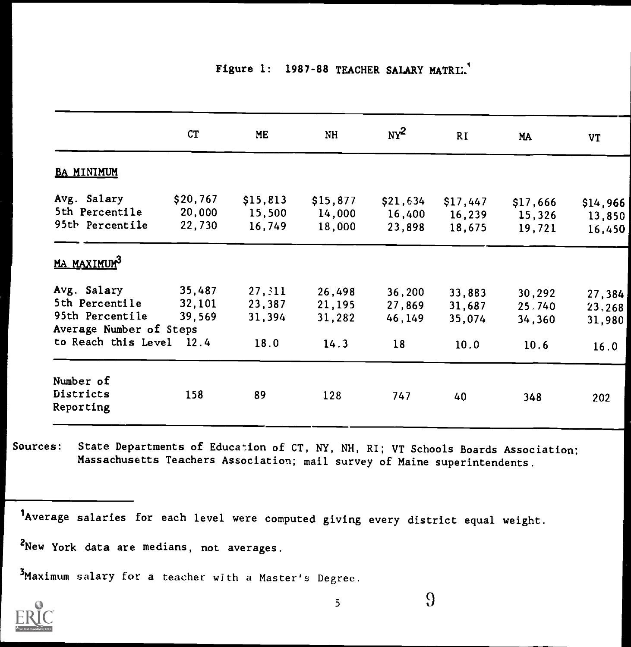## Figure 1: 1987-88 TEACHER SALARY MATRIL<sup>1</sup>

|                               | CT       | ME       | NH       | $\mathbf{N}^2$ | RI.      | MA       | <b>VT</b> |
|-------------------------------|----------|----------|----------|----------------|----------|----------|-----------|
| <b>BA MINIMUM</b>             |          |          |          |                |          |          |           |
| Avg. Salary                   | \$20,767 | \$15,813 | \$15,877 | \$21,634       | \$17,447 | \$17,666 | \$14,966  |
| 5th Percentile                | 20,000   | 15,500   | 14,000   | 16,400         | 16,239   | 15,326   | 13,850    |
| 95th Percentile               | 22,730   | 16,749   | 18,000   | 23,898         | 18,675   | 19,721   | 16,450    |
| <u>MA MAXIMUM<sup>3</sup></u> |          |          |          |                |          |          |           |
| Avg. Salary                   | 35,487   | 27, 311  | 26,498   | 36,200         | 33,883   | 30,292   | 27,384    |
| 5th Percentile                | 32,101   | 23,387   | 21,195   | 27,869         | 31,687   | 25,740   | 23, 268   |
| 95th Percentile               | 39,569   | 31,394   | 31,282   | 46,149         | 35,074   | 34,360   | 31,980    |
| Average Number of Steps       |          |          |          |                |          |          |           |
| to Reach this Level 12.4      |          | 18.0     | 14.3     | 18             | 10.0     | 10.6     | 16.0      |
| Number of                     |          |          |          |                |          |          |           |
| Districts                     | 158      | 89       | 128      |                |          |          |           |
| Reporting                     |          |          |          | 747            | 40       | 348      | 202       |

Sources: State Departments of Education of CT, NY, NH, RI; VT Schools Boards Association; Massachusetts Teachers Association; mail survey of Maine superintendents.

lAverage salaries for each level were computed giving every district equal weight.

2New York data are medians, not averages.

3Maximum salary for a teacher with a Master's Degree.

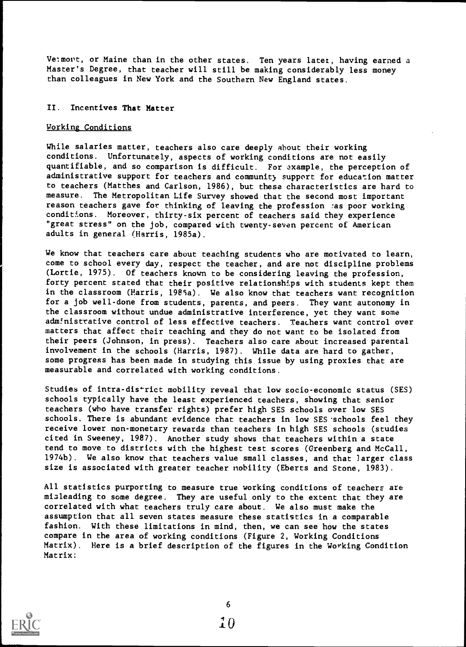Velmovt, or Maine than in the other states. Ten years later, having earned a Master's Degree, that teacher will still be making considerably less money than colleagues in New York and the Southern New England states.

## II. Incentives That Matter

#### Working Conditions

While salaries matter, teachers also care deeply about their working conditions. Unfortunately, aspects of working conditions are not easily quantifiable, and so comparison is difficult. For axample, the perception of administrative support for teachers and community support for education matter to teachers (Matthes and Carlson, 1986), but these characteristics are hard to measure. The Metropolitan Life Survey showed that the second most important reason teachers gave for thinking of leaving the profession las poor working conditions. Moreover, thirty-six percent of teachers said they experience "great stress" on the job, compared with twenty-seven percent of American adults in general (Harris, 1985a).

We know that teachers care about teaching students who are motivated to learn, come to school every day, respect the teacher, and are not discipline problems (Lortie, 1975). Of teachers known to be considering leaving the profession, forty percent stated that their positive relationships with students kept them in the classroom (Parris, 1989a). We also know that teachers want recognition for a job well-done from students, parents, and peers. They want autonomy in the classroom without undue administrative interference, yet they want some administrative control of less effective teachers. Teachers want control over matters that affect their teaching and they do not want to be isolated from their peers (Johnson, in press). Teachers also care about increased parental involvement in the schools (Harris, 1987). While data are hard to gather, some progress has been made in studying this issue by using proxies that are measurable and correlated with working conditions.

Studies of intra-district mobility reveal that low socio-economic status (SES) schools typically have the least experienced teachers, showing that senior teachers (who have transfer rights) prefer high SES schools over low SES schools. There is abundant evidence that teachers in low SES schools feel they receive lower non-monetary rewards than teachers in high SES schools (studies cited in Sweeney, 1987). Another study shows that teachers within a state tend to move to districts with the highest test scores (Greenberg and McCall, 1974b). We also know that teachers value small classes, and that larger class size is associated with greater teacher nobility (Eberts and Stone, 1983).

All statistics purporting to measure true working conditions of teachers are misleading to some degree. They are useful only to the extent that they are correlated with what teachers truly care about. We also must make the assumption that all seven states measure these statistics in a comparable fashion. With these limitations in mind, then, we can see how the states compare in the area of working conditions (Figure 2, Working Conditions Matrix). Here is a brief description of the figures in the Working Condition Matrix:

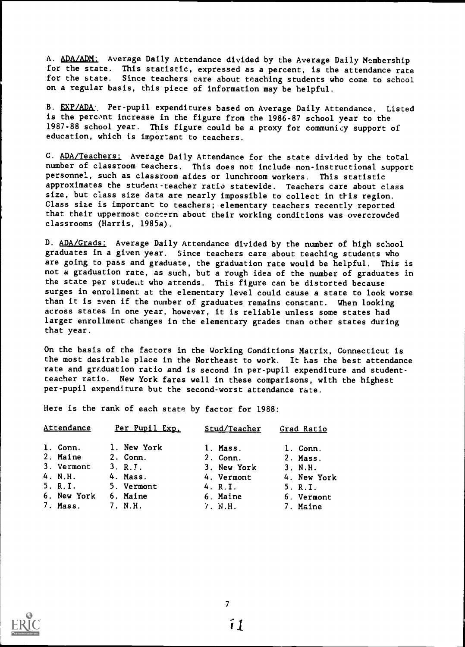A. ADA/ADM: Average Daily Attendance divided by the Average Daily Membership for the state. This statistic, expressed as a percent, is the attendance rate for the state. Since teachers care about teaching students who come to school on a regular basis, this piece of information may be helpful.

B. EXP/ADA: Per-pupil expenditures based on Average Daily Attendance. Listed is the percent increase in the figure from the 1986-87 school year to the 1987-88 school year. This figure could be a proxy for communicy support of education, which is important to teachers.

C. ADA/Teachers: Average Daily Attendance for the state divided by the total number of classroom teachers. This does not include non-instructional support personnel, such as classroom aides or lunchroom workers. This statistic approximates the student-teacher ratio statewide. Teachers care about class size, but class size data are nearly impossible to collect in this region. Class size is important to teachers; elementary teachers recently reported that their uppermost concern about their working conditions was overcrowded classrooms (Harris, 1985a).

D. ADA/Grads: Average Daily Attendance divided by the number of high school graduates in a given year. Since teachers care about teaching students who are going to pass and graduate, the graduation rate would be helpful. This is not a graduation rate, as such, but a rough idea of the number of graduates in the state per student who attends. This figure can be distorted because surges in enrollment at the elementary level could cause a state to look worse than it is even if the number of graduates remains constant. When looking across states in one year, however, it is reliable unless some states had larger enrollment changes in the elementary grades tnan other states during that year.

On the basis of the factors in the Working Conditions Matrix, Connecticut is the most desirable place in the Northeast to work. It has the best attendance rate and graduation ratio and is second in per-pupil expenditure and studentteacher ratio. New York fares well in these comparisons, with the highest per-pupil expenditure but the second-worst attendance rate.

Here is the rank of each state by factor for 1988:

| Attendance  | Per Pupil Exp. | Stud/Teacher | Grad Ratio  |
|-------------|----------------|--------------|-------------|
| 1. Conn.    | 1. New York    | 1. Mass.     | 1. Conn.    |
| 2. Maine    | 2. Conn.       | 2. Conn.     | 2. Mass.    |
| 3. Vermont  | 3. R. J.       | 3. New York  | 3. N.H.     |
| 4. N.H.     | 4. Mass.       | 4. Vermont   | 4. New York |
| 5. R.I.     | 5. Vermont     | 4. R.I.      | 5. R.I.     |
| 6. New York | 6. Maine       | 6. Maine     | 6. Vermont  |
| 7. Mass.    | 7. N.H.        | 7. N.H.      | 7. Maine    |

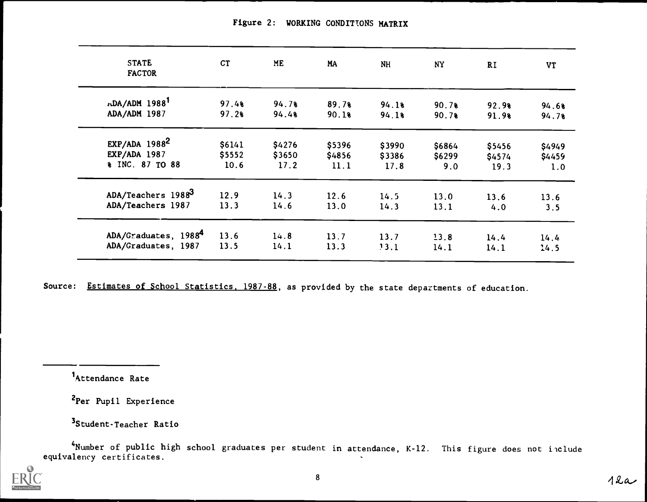| <b>STATE</b><br><b>FACTOR</b> | <b>CT</b> | <b>ME</b> | MA     | <b>NH</b> | <b>NY</b> | <b>RI</b> | <b>VT</b> |
|-------------------------------|-----------|-----------|--------|-----------|-----------|-----------|-----------|
| $nDA/ADM$ 1988 <sup>1</sup>   | 97.48     | 94.78     | 89.78  | 94.18     | 90.78     | 92.98     | 94.6%     |
| ADA/ADM 1987                  | 97.28     | 94.48     | 90.18  | 94.1%     | 90.7%     | 91.9%     | 94.7%     |
| $EXP/ADA$ 1988 <sup>2</sup>   | \$6141    | \$4276    | \$5396 | \$3990    | \$6864    | \$5456    | \$4949    |
| <b>EXP/ADA 1987</b>           | \$5552    | \$3650    | \$4856 | \$3386    | \$6299    | \$4574    | \$4459    |
| % INC. 87 TO 88               | 10.6      | 17.2      | 11.1   | 17.8      | 9.0       | 19.3      | 1.0       |
| ADA/Teachers 19883            | 12.9      | 14.3      | 12.6   | 14.5      | 13.0      | 13.6      | 13.6      |
| ADA/Teachers 1987             | 13.3      | 14.6      | 13.0   | 14.3      | 13.1      | 4.0       | 3.5       |
| ADA/Graduates, 19884          | 13.6      | 14.8      | 13.7   | 13.7      | 13.8      | 14.4      | 14.4      |
| ADA/Graduates, 1987           | 13.5      | 14.1      | 13.3   | 13.1      | 14.1      | 14.1      | 14.5      |

Figure 2: WORKING CONDITIONS MATRIX

Source: Estimates of School Statistics, 1987-88, as provided by the state departments of education.

Attendance Rate

2Per Pupil Experience

<sup>3</sup> Student-Teacher Ratio

4Number of public high school graduates per student in attendance, K-12. This figure does not include equivalency certificates.

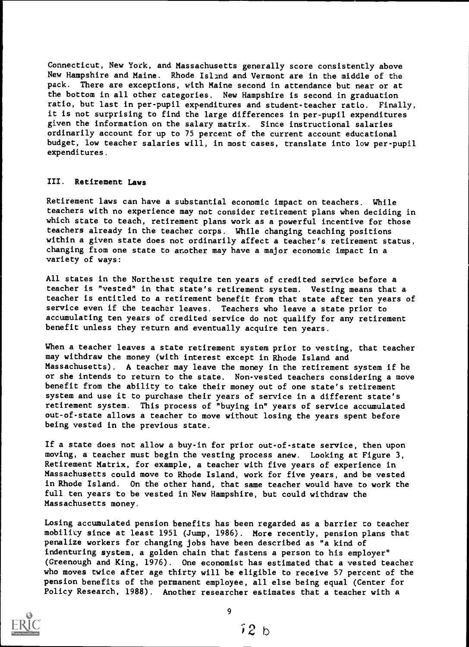Connecticut, New York, and Massachusetts generally score consistently above New Hampshire and Maine. Rhode Island and Vermont are in the middle of the pack. There are exceptions, with Maine second in attendance but near or at the bottom in all other categories. New Hampshire is second in graduation ratio, but last in per-pupil expenditures and student-teacher ratio. Finally, it is not surprising to find the large differences in per-pupil expenditures given the information on the salary matrix. Since instructional salaries ordinarily account for up to 75 percent of the current account educational budget, low teacher salaries will, in most cases, translate into low per-pupil expenditures.

#### III. Retirement Laws

Retirement laws can have a substantial economic impact on teachers. While teachers with no experience may not consider retirement plans when deciding in which state to teach, retirement plans work as a powerful incentive for those teachers already in the teacher corps. While changing teaching positions within a given state does not ordinarily affect a teacher's retirement status, changing from one state to another may have a major economic impact in a variety of ways:

All states in the Northeast require ten years of credited service before a teacher is "vested" in that state's retirement system. Vesting means that a teacher is entitled to a retirement benefit from that state after ten years of service even if the teacher leaves. Teachers who leave a state prior to accumulating ten years of credited service do not qualify for any retirement benefit unless they return and eventually acquire ten years.

When a teacher leaves a state retirement system prior to vesting, that teacher may withdraw the money (with interest except in Rhode Island and Massachusetts). A teacher may leave the money in the retirement system if he or she intends to return to the state. Non-vested teachers considering a move benefit from the ability to take their money out of one state's retirement system and use it to purchase their years of service in a different state's retirement system. This process of "buying in" years of service accumulated out-of-state allows a teacher to move without losing the years spent before being vested in the previous state.

If a state does not allow a buy-in for prior out-of-state service, then upon moving, a teacher must begin the vesting process anew. Looking at Figure 3, Retirement Matrix, for example, a teacher with five years of experience in Massachusetts could move to Rhode Island, work for five years, and be vested in Rhode Island. On the other hand, that same teacher would have to work the full ten years to be vested in New Hampshire, but could withdraw the Massachusetts money.

Losing accumulated pension benefits has been regarded as a barrier to teacher mobility since at least 1951 (Jump, 1986). More recently, pension plans that penalize workers for changing jobs have been described as "a kind of indenturing system, a golden chain that fastens a person to his employer" (Greenough and King, 1976). One economist has estimated that a vested teacher who moves twice after age thirty will be eligible to receive 57 percent of the pension benefits of the permanent employee, all else being equal (Center for Policy Research, 1988). Another researcher estimates that a teacher with a



9

 $i2b$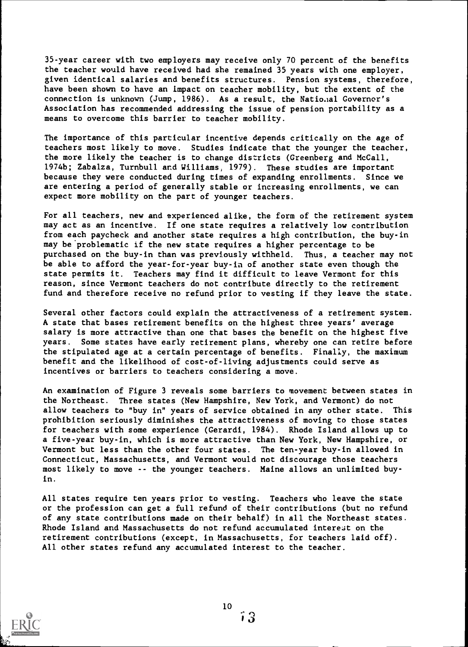35-year career with two employers may receive only 70 percent of the benefits the teacher would have received had she remained 35 years with one employer, given identical salaries and benefits structures. Pension systems, therefore, have been shown to have an impact on teacher mobility, but the extent of the connection is unknown (Jump, 1986). As a result, the National Governor's Association has recommended addressing the issue of pension portability as a means to overcome this barrier to teacher mobility.

The importance of this particular incentive depends critically on the age of teachers most likely to move. Studies indicate that the younger the teacher, the more likely the teacher is to change districts (Greenberg and McCall, 1974b; Zabalza, Turnbull and Williams, 1979). These studies are important because they were conducted during times of expanding enrollments. Since we are entering a period of generally stable or increasing enrollments, we can expect more mobility on the part of younger teachers.

For all teachers, new and experienced alike, the form of the retirement system may act as an incentive. If one state requires a relatively low contribution from each paycheck and another state requires a high contribution, the buy-in may be'problematic if the new state requires a higher percentage to be purchased on the buy-in than was previously withheld. Thus, a teacher may not be able to afford the year-for-year buy-in of another state even though the state permits it. Teachers may find it difficult to leave Vermont for this reason, since Vermont teachers do not contribute directly to the retirement fund and therefore receive no refund prior to vesting if they leave the state.

Several other factors could explain the attractiveness of a retirement system. A state that bases retirement benefits on the highest three years' average salary is more attractive than one that bases the benefit on the highest five years. Some states have early retirement plans, whereby one can retire before the stipulated age at a certain percentage of benefits. Finally, the maximum benefit and the likelihood of cost-of-living adjustments could serve as incentives or barriers to teachers considering a move.

An examination of Figure 3 reveals some barriers to movement between states in the Northeast. Three states (New Hampshire, New York, and Vermont) do not allow teachers to "buy in" years of service obtained in any other state. This prohibition seriously diminishes the attractiveness of moving to those states for teachers with some experience (Gerardi, 1984). Rhode Island allows up to a five-year buy-in, which is more attractive than New York, New Hampshire, or Vermont but less than the other four states. The ten-year buy-in allowed in Connecticut, Massachusetts, and Vermont would not discourage those teachers most likely to move -- the younger teachers. Maine allows an unlimited buyin.

All states require ten years prior to vesting. Teachers who leave the state or the profession can get a full refund of their contributions (but no refund of any state contributions made on their behalf) in all the Northeast states. Rhode Island and Massachusetts do not refund accumulated interest on the retirement contributions (except, in Massachusetts, for teachers laid off). All other states refund any accumulated interest to the teacher.

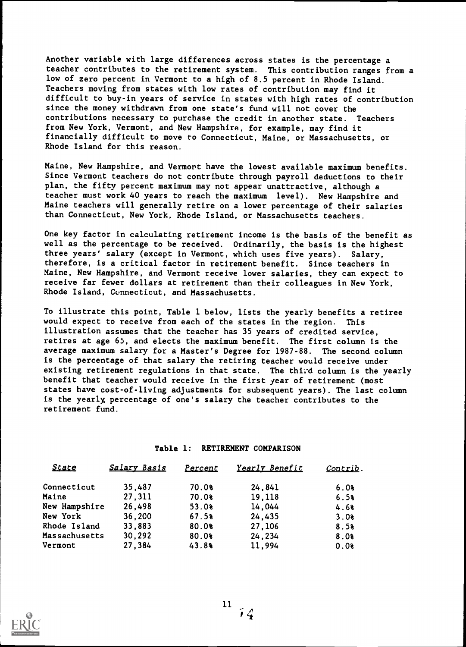Another variable with large differences across states is the percentage a teacher contributes to the retirement system. This contribution ranges from a low of zero percent in Vermont to a high of 8.5 percent in Rhode Island. Teachers moving from states with low rates of contribution may find it difficult to buy-in years of service in states with high rates of contribution since the money withdrawn from one state's fund will not cover the contributions necessary to purchase the credit in another state. Teachers from New York, Vermont, and New Hampshire, for example, may find it financially difficult to move to Connecticut, Maine, or Massachusetts, or Rhode Island for this reason.

Maine, New Hampshire, and Vermort have the lowest available maximum benefits. Since Vermont teachers do not contribute through payroll deductions to their plan, the fifty percent maximum may not appear unattractive, although a teacher must work 40 years to reach the maximum level). New Hampshire and Maine teachers will generally retire on a lower percentage of their salaries than Connecticut, New York, Rhode Island, or Massachusetts teachers.

One key factor in calculating retirement income is the basis of the benefit as well as the percentage to be received. Ordinarily, the basis is the highest three years' salary (except in Vermont, which uses five years). Salary, therefore, is a critical factor in retirement benefit. Since teachers in Maine, New Hampshire, and Vermont receive lower salaries, they can expect to receive far fewer dollars at retirement than their colleagues in New York, Rhode Island, Connecticut, and Massachusetts.

To illustrate this point, Table 1 below, lists the yearly benefits a retiree would expect to receive from each of the states in the region. This illustration assumes that the teacher has 35 years of credited service, retires at age 65, and elects the maximum benefit. The first column is the average maximum salary for a Master's Degree for 1987-88. The second column is the percentage of that salary the retiring teacher would receive under existing retirement regulations in that state. The third column is the yearly benefit that teacher would receive in the first year of retirement (most states have cost-of-living adjustments for subsequent years). The last column is the yearly, percentage of one's salary the teacher contributes to the retirement fund.

#### Table 1: RETIREMENT COMPARISON

| State         | <b>Salary Basis</b> | Percent | Yearly Benefit | Contrib. |  |
|---------------|---------------------|---------|----------------|----------|--|
| Connecticut   | 35,487              | 70.0%   | 24,841         | 6.0%     |  |
| Maine         | 27,311              | 70.0%   | 19,118         | 6.5%     |  |
| New Hampshire | 26,498              | 53.08   | 14,044         | 4.68     |  |
| New York      | 36,200              | 67.5%   | 24,435         | 3.08     |  |
| Rhode Island  | 33,883              | 80.0%   | 27,106         | 8.5%     |  |
| Massachusetts | 30,292              | 80.0%   | 24,234         | 8.0%     |  |
| Vermont       | 27,384              | 43.88   | 11,994         | 0.08     |  |

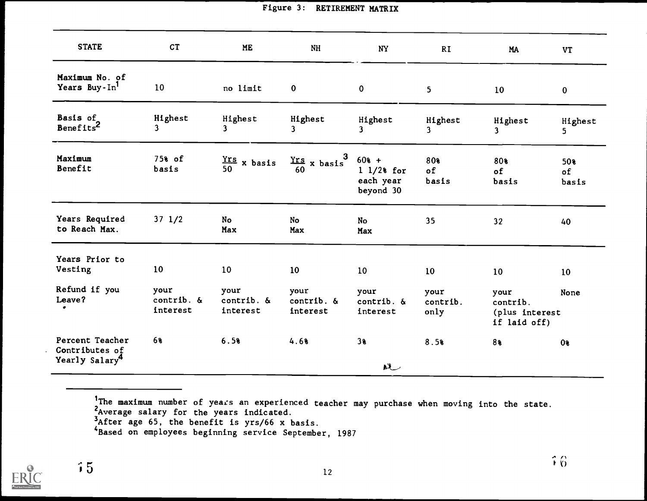| <b>STATE</b>                                                    | CT                                    | <b>ME</b>                       | <b>NH</b>                                    | <b>NY</b>                                                | <b>RI</b>                | <b>MA</b>                                          | <b>VT</b>          |
|-----------------------------------------------------------------|---------------------------------------|---------------------------------|----------------------------------------------|----------------------------------------------------------|--------------------------|----------------------------------------------------|--------------------|
| Maximum No. of<br>Years Buy-In <sup>1</sup>                     | 10                                    | no limit                        | $\bf{0}$                                     | $\mathbf{0}$                                             | 5 <sub>1</sub>           | 10                                                 | $\mathbf 0$        |
| Basis of<br>Benefits <sup>2</sup>                               | Highest<br>3                          | Highest<br>3                    | Highest<br>$\mathbf{3}$                      | Highest<br>3                                             | Highest<br>$\mathbf{3}$  | Highest<br>$\mathbf{3}$                            | Highest<br>5.      |
| Maximum<br>Benefit                                              | 75% of<br>basis                       | $\frac{\text{Yrs}}{50}$ x basis | $\frac{\text{Yrs}}{60}$ x basis <sup>3</sup> | $60* +$<br>$1 \frac{1}{2}$ for<br>each year<br>beyond 30 | 80%<br>of<br>basis       | 80%<br>of<br>basis                                 | 50%<br>of<br>basis |
| Years Required<br>to Reach Max.                                 | $37 \frac{1}{2}$                      | No<br>Max                       | No<br>Max                                    | No<br>Max                                                | 35                       | 32 <sub>2</sub>                                    | 40                 |
| Years Prior to<br>Vesting                                       | 10                                    | 10                              | 10                                           | 10                                                       | 10                       | 10 <sup>°</sup>                                    | 10                 |
| Refund if you<br>Leave?<br>۰                                    | your<br>contrib. $\delta$<br>interest | your<br>contrib. &<br>interest  | your<br>contrib. &<br>interest               | your<br>contrib. $\delta$<br>interest                    | your<br>contrib.<br>only | your<br>contrib.<br>(plus interest<br>if laid off) | None               |
| Percent Teacher<br>Contributes of<br>Yearly Salary <sup>4</sup> | 6%                                    | 6.5%                            | 4.68                                         | 38<br>$\mathbf{M}$                                       | 8.5%                     | 8%                                                 | 0 <sub>8</sub>     |

Figure 3: RETIREMENT MATRIX

The maximum number of years of years an experienced teacher may purchase when moving into the state.

Average salary for the yea: the years indicated.

After age 65, the benefit. benefit is yrs/66 x basis.

<sup>\*</sup>Based on employees beginnir beginning service September, 1987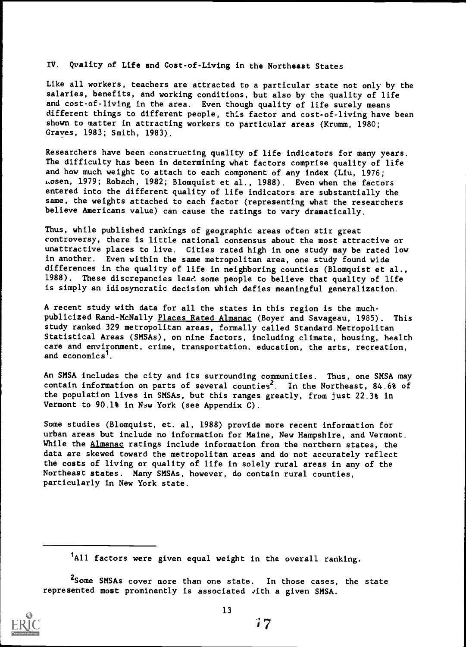IV. Quality of Life and Cost-of-Living in the Northeast States

Like all workers, teachers are attracted to a particular state not only by the salaries, benefits, and working conditions, but also by the quality of life and cost-of-living in the area. Even though quality of life surely means different things to different people, this factor and cost-of-living have been shown to matter in attracting workers to particular areas (Krumm, 1980; Graves, 1983; Smith, 1983).

Researchers have been constructing quality of life indicators for many years. The difficulty has been in determining what factors comprise quality of life and how much weight to attach to each component of any index (Liu, 1976; Losen, 1979; Robach, 1982; Blomquist et al., 1988). Even when the factors entered into the different quality of life indicators are substantially the same, the weights attached to each factor (representing what the researchers believe Americans value) can cause the ratings to vary dramatically.

Thus, while published rankings of geographic areas often stir great controversy, there is little national consensus about the most attractive or unattractive places to live. Cities rated high in one study may be rated low in another. Even within the same metropolitan area, one study found wide differences in the quality of life in neighboring counties (Blomquist et al., 1988). These discrepancies lead some people to believe that quality of life These discrepancies lead some people to believe that quality of life is simply an idiosyncratic decision which defies meaningful generalization.

A recent study with data for all the states in this region is the muchpublicized Rand-McNally Places Rated Almanac (Boyer and Savageau, 1985). This study ranked 329 metropolitan areas, formally called Standard Metropolitan Statistical Areas (SMSAs), on nine factors, including climate, housing, health care and environment, crime, transportation, education, the arts, recreation, and economics<sup>1</sup>.

An SMSA includes the city and its surrounding communities. Thus, one SMSA may contain information on parts of several counties<sup>2</sup>. In the Northeast, 84.6% of the population lives in SMSAs, but this ranges greatly, from just 22.3% in Vermont to 90.1% in New York (see Appendix C).

Some studies (Blomquist, et. al, 1988) provide more recent information for urban areas but include no information for Maine, New Hampshire, and Vermont. While the Almanac ratings include information from the northern states, the data are skewed toward the metropolitan areas and do not accurately reflect the costs of living or quality of life in solely rural areas in any of the Northeast states. Many SMSAs, however, do contain rural counties, particularly in New York state.

<sup>&</sup>lt;sup>2</sup>Some SMSAs cover more than one state. In those cases, the state represented most prominently is associated with a given SMSA.



<sup>&</sup>lt;sup>1</sup>All factors were given equal weight in the overall ranking.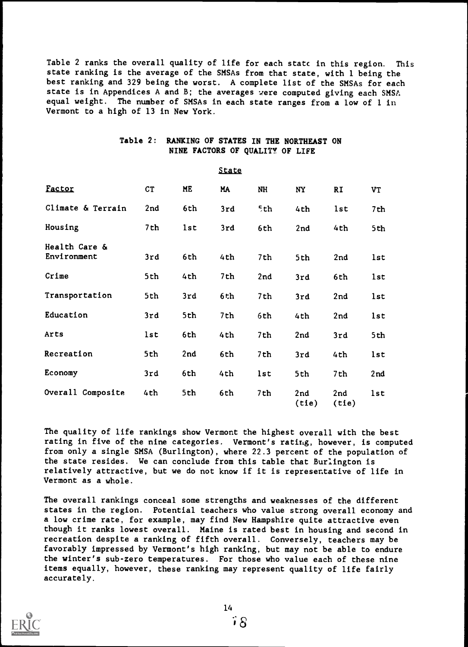Table 2 ranks the overall quality of life for each statc in this region. This state ranking is the average of the SMSAs from that state, with 1 being the best ranking and 329 being the worst. A complete list of the SMSAs for each state is in Appendices A and B; the averages were computed giving each SMSA equal weight. The number of SMSAs in each state ranges from a low of 1 in Vermont to a high of 13 in New York.

| Table 2: RANKING OF STATES IN THE NORTHEAST ON |  |
|------------------------------------------------|--|
| NINE FACTORS OF QUALITY OF LIFE                |  |

State

|                              |           |     | <u>Trare</u> |     |              |              |     |
|------------------------------|-----------|-----|--------------|-----|--------------|--------------|-----|
| Factor                       | <b>CT</b> | ME  | MA           | NH  | <b>NY</b>    | <b>RI</b>    | VT  |
| Climate & Terrain            | 2nd       | 6th | 3rd          | 5th | 4th          | lst          | 7th |
| Housing                      | 7th       | 1st | 3rd          | 6th | 2nd          | 4th          | 5th |
| Health Care &<br>Environment | 3rd       | 6th | 4th          | 7th | 5th          | 2nd          | lst |
| Crime                        | 5th       | 4th | 7th          | 2nd | 3rd          | 6th          | 1st |
| Transportation               | 5th       | 3rd | 6th          | 7th | 3rd          | 2nd          | 1st |
| Education                    | 3rd       | 5th | 7th          | 6th | 4th          | 2nd          | 1st |
| Arts                         | 1st       | 6th | 4th          | 7th | 2nd          | 3rd          | 5th |
| Recreation                   | 5th       | 2nd | 6th          | 7th | 3rd          | 4th          | 1st |
| Economy                      | 3rd       | 6th | 4th          | 1st | 5th          | 7th          | 2nd |
| Overall Composite            | 4th       | 5th | 6th          | 7th | 2nd<br>(tie) | 2nd<br>(tie) | 1st |

The quality of life rankings show Vermont the highest overall with the best rating in five of the nine categories. Vermont's rating, however, is computed from only a single SMSA (Burlington), where 22.3 percent of the population of the state resides. We can conclude from this table that Burlington is relatively attractive, but we do not know if it is representative of life in Vermont as a whole.

The overall rankings conceal some strengths and weaknesses of the different states in the region. Potential teachers who value strong overall economy and a low crime rate, for example, may find New Hampshire quite attractive even though it ranks lowest overall. Maine is rated best in housing and second in recreation despite a ranking of fifth overall. Conversely, teachers may be favorably impressed by Vermont's high ranking, but may not be able to endure the winter's sub-zero temperatures. For those who value each of these nine items equally, however, these ranking may represent quality of life fairly accurately.

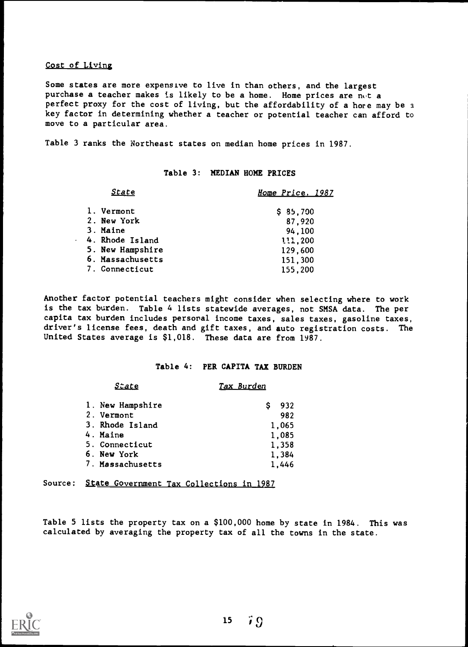#### Cost of Living

Some states are more expensive to live in than others, and the largest purchase a teacher makes is likely to be a home. Home prices are not a perfect proxy for the cost of living, but the affordability of a hore may be a key factor in determining whether a teacher or potential teacher can afford to move to a particular area.

Table 3 ranks the Northeast states on median home prices in 1987.

#### Table 3: MEDIAN HOME PRICES

| <b>State</b>                                                                                     | Home Price. 1987                                              |
|--------------------------------------------------------------------------------------------------|---------------------------------------------------------------|
| 1. Vermont<br>2. New York<br>3. Maine<br>4. Rhode Island<br>5. New Hampshire<br>6. Massachusetts | \$35,700<br>87,920<br>94,100<br>111,200<br>129,600<br>151,300 |
| 7. Connecticut                                                                                   | 155,200                                                       |

Another factor potential teachers might consider when selecting where to work is the tax burden. Table 4 lists statewide averages, not SMSA data. The per capita tax burden includes persoral income taxes, sales taxes, gasoline taxes, driver's license fees, death and gift taxes, and auto registration costs. The United States average is \$1,018. These data are from 1987.

## Table 4: PER CAPITA TAX BURDEN

#### State Tax Burden

| 1. New Hampshire | 932   |
|------------------|-------|
| 2. Vermont       | 982   |
| 3. Rhode Island  | 1,065 |
| 4. Maine         | 1,085 |
| 5. Connecticut   | 1,358 |
| 6. New York      | 1.384 |
| 7. Massachusetts | 1.446 |

Source: State Government Tax Collections in 1987

Table 5 lists the property tax on a \$100,000 home by state in 1984. This was calculated by averaging the property tax of all the towns in the state.

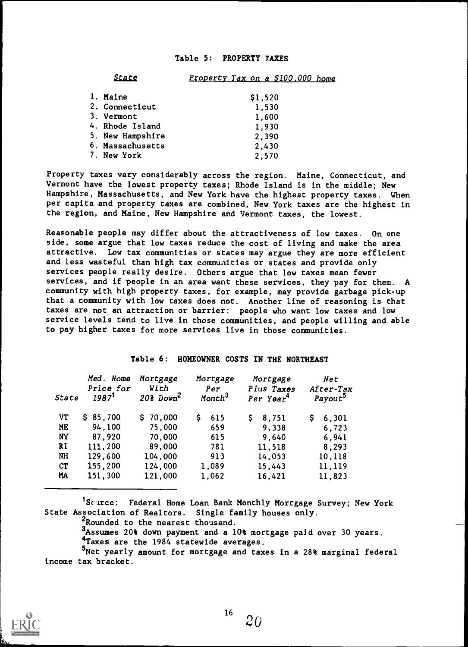#### Table 5: PROPERTY TAXES

| <b>State</b>     | Property Tax on a \$100,000 home |
|------------------|----------------------------------|
| 1. Maine         | \$1,520                          |
| 2. Connecticut   | 1,530                            |
| 3. Vermont       | 1,600                            |
| 4. Rhode Island  | 1,930                            |
| 5. New Hampshire | 2,390                            |
| 6. Massachusetts | 2,430                            |
| 7. New York      | 2,570                            |

Property taxes vary considerably across the region. Maine, Connecticut, and Vermont have the lowest property taxes; Rhode Island is in the middle; New Hampshire, Massachusetts, and New York have the highest property taxes. When per capita and property taxes are combined, New York taxes are the highest in the region, and Maine, New Hampshire and Vermont taxes, the lowest.

Reasonable people may differ about the attractiveness of low taxes. On one side, some argue that low taxes reduce the cost of living and make the area attractive. Low tax communities or states may argue they are more efficient and less wasteful than high tax communities or states and provide only services people really desire. Others argue that low taxes mean fewer services, and if people in an area want these services, they pay for them. A community with high property taxes, for example, may provide garbage pick-up that a community with low taxes does not. Another line of reasoning is that taxes are not an attraction or barrier: people who want low taxes and low service levels tend to live in those communities, and people willing and able to pay higher taxes for more services live in those communities.

## Table 6: HOMEOWNER COSTS IN THE NORTHEAST

| State     | Med. Home<br>Price for<br>1987 <sup>1</sup> | Mortgage<br>With<br>$208$ Down <sup>2</sup> | Mortgage<br>Per<br>Month <sup>3</sup> | Mortgage<br>Plus Taxes<br>Per Year <sup>4</sup> | Net<br>After-Tax<br>Payout <sup>5</sup> |
|-----------|---------------------------------------------|---------------------------------------------|---------------------------------------|-------------------------------------------------|-----------------------------------------|
| VT        | \$85,700                                    | \$70,000                                    | 615                                   | 8,751                                           | 6,301<br>s                              |
| ME        | 94,100                                      | 75,000                                      | 659                                   | 9,338                                           | 6,723                                   |
| <b>NY</b> | 87,920                                      | 70,000                                      | 615                                   | 9,640                                           | 6,941                                   |
| <b>RI</b> | 111,200                                     | 89,000                                      | 781                                   | 11,518                                          | 8,293                                   |
| NH        | 129,600                                     | 104,000                                     | 913                                   | 14,053                                          | 10,118                                  |
| CT        | 155,200                                     | 124,000                                     | 1,089                                 | 15,443                                          | 11,119                                  |
| MA        | 151,300                                     | 121,000                                     | 1,062                                 | 16,421                                          | 11,823                                  |

<sup>1</sup>Scurce: Federal Home Loan Bank Monthly Mortgage Survey; New York State Association of Realtors. Single family houses only.

<sup>2</sup>Rounded to the nearest thousand.

<sup>3</sup>Assumes 20% down payment and a 10% mortgage paid over 30 years.

<sup>4</sup>Taxes are the 1984 statewide averages.

5Net yearly amount for mortgage and taxes in a 28% marginal federal income tax bracket.

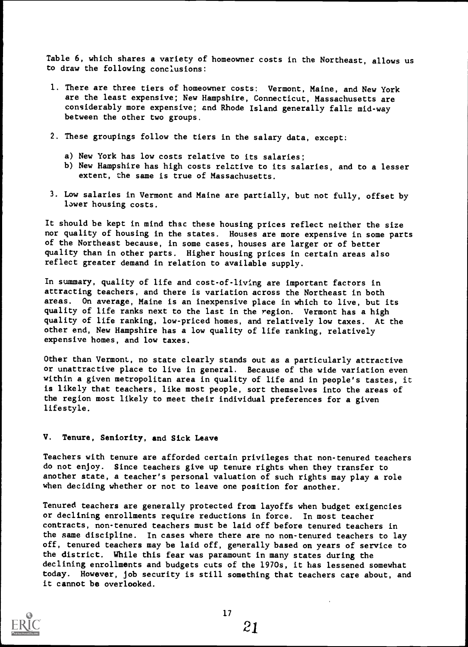Table 6, which shares a variety of homeowner costs in the Northeast, allows us to draw the following conclusions:

- 1. There are three tiers of homeowner costs: Vermont, Maine, and New York are the least expensive; New Hampshire, Connecticut, Massachusetts are considerably more expensive; and Rhode Island generally falls mid-way between the other two groups.
- 2. These groupings follow the tiers in the salary data, except:
	- a) New York has low costs relative to its salaries;
	- b) New Hampshire has high costs relative to its salaries, and to a lesser extent, the same is true of Massachusetts.
- 3. Low salaries in Vermont and Maine are partially, but not fully, offset by lower housing costs.

It should be kept in mind that these housing prices reflect neither the size nor quality of housing in the states. Houses are more expensive in some parts of the Northeast because, in some cases, houses are larger or of better quality than in other parts. Higher housing prices in certain areas also reflect greater demand in relation to available supply.

In summary, quality of life and cost-of-living are important factors in attracting teachers, and there is variation across the Northeast in both areas. On average, Maine is an inexpensive place in which to live, but its quality of life ranks next to the last in the region. Vermont has a high quality of life ranking, low-priced homes, and relatively low taxes. At the other end, New Hampshire has a low quality of life ranking, relatively expensive homes, and low taxes.

Other than Vermont, no state clearly stands out as a particularly attractive or unattractive place to live in general. Because of the wide variation even within a given metropolitan area in quality of life and in people's tastes, it is likely that teachers, like most people, sort themselves into the areas of the region most likely to meet their individual preferences for a given lifestyle.

## V. Tenure, Seniority, and Sick Leave

Teachers with tenure are afforded certain privileges that non-tenured teachers do not enjoy. Since teachers give up tenure rights when they transfer to another state, a teacher's personal valuation of such rights may play a role when deciding whether or not to leave one position for another.

Tenured teachers are generally protected from layoffs when budget exigencies or declining enrollments require reductions in force. In most teacher contracts, non-tenured teachers must be laid off before tenured teachers in the same discipline. In cases where there are no non-tenured teachers to lay off, tenured teachers may be laid off, generally based on years of service to the district. While this fear was paramount in many states during the declining enrollments and budgets cuts of the 1970s, it has lessened somewhat today. However, job security is still something that teachers care about, and it cannot be overlooked.



21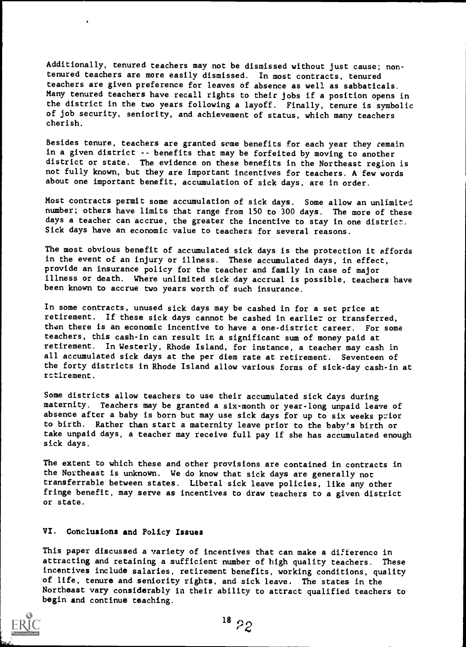Additionally, tenured teachers may not be dismissed without just cause; nontenured teachers are more easily dismissed. In most contracts, tenured teachers are given preference for leaves of absence as well as sabbaticals. Many tenured teachers have recall rights to their jobs if a position opens in the district in the two years following a layoff. Finally, tenure is symbolic of job security, seniority, and achievement of status, which many teachers cherish.

Besides tenure, teachers are granted some benefits for each year they remain in a given district -- benefits that may be forfeited by moving to another district or state. The evidence on these benefits in the Northeast region is not fully known, but they are important incentives for teachers. A few words about one important benefit, accumulation of sick days, are in order.

Most contracts permit some accumulation of sick days. Some allow an unlimited number; others have limits that range from 150 to 300 days. The more of these days a teacher can accrue, the greater the incentive to stay in one district. Sick days have an economic value to teachers for several reasons.

The most obvious benefit of accumulated sick days is the protection it affords in the event of an injury or illness. These accumulated days, in effect, provide an insurance policy for the teacher and family in case of major illness or death. Where unlimited sick day accrual is possible, teachers have been known to accrue two years worth of such insurance.

In some contracts, unused sick days may be cashed in for a set price at retirement. If these sick days cannot be cashed in earlier or transferred, then there is an economic incentive to have a one-district career. For some teachers, this cash-in can result in a significant sum of money paid at retirement. In Westerly, Rhode Island, for instance, a teacher may cash in all accumulated sick days at the per diem rate at retirement. Seventeen of the forty districts in Rhode Island allow various forms of sick-day cash-in at retirement.

Some districts allow teachers to use their accumulated sick days during maternity. Teachers may be granted a six-month or year-long unpaid leave of absence after a baby is born but may use sick days for up to six weeks prior to birth. Rather than start a maternity leave prior to the baby's birth or take unpaid days, a teacher may receive full pay if she has accumulated enough sick days.

The extent to which these and other provisions are contained in contracts in the Northeast is unknown. We do know that sick days are generally not transferrable between states. Liberal sick leave policies, like any other fringe benefit, may serve as incentives to draw teachers to a given district or state.

#### VI. Conclusions and Policy Issues

This paper discussed a variety of incentives that can make a difference in attracting and retaining a sufficient number of high quality teachers. These incentives include salaries, retirement benefits, working conditions, quality of life, tenure and seniority rights, and sick leave. The states in the Northeast vary considerably in their ability to attract qualified teachers to begin and continue teaching.

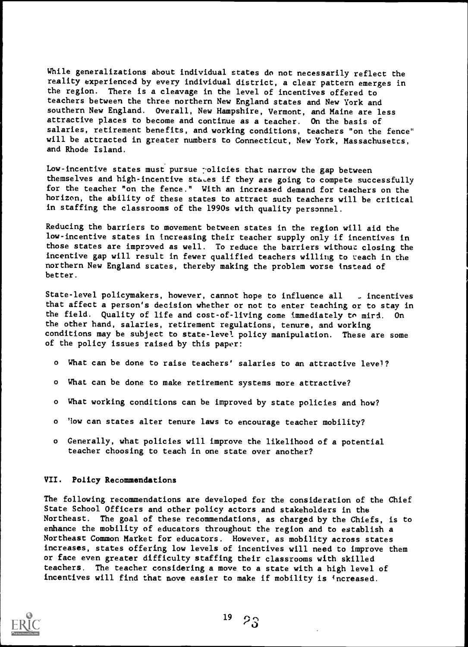While generalizations about individual states do not necessarily reflect the reality experienced by every individual district, a clear pattern emerges in the region. There is a cleavage in the level of incentives offered to teachers between the three northern New England states and New York and southern New England. Overall, New Hampshire, Vermont, and Maine are less attractive places to become and continue as a teacher. On the basis of salaries, retirement benefits, and working conditions, teachers "on the fence" will be attracted in greater numbers to Connecticut, New York, Massachusetts, and Rhode Island.

Low-incentive states must pursue policies that narrow the gap between themselves and high-incentive sta,es if they are going to compete successfully for the teacher "on the fence." With an increased demand for teachers on the horizon, the ability of these states to attract such teachers will be critical in staffing the classrooms of the 1990s with quality personnel.

Reducing the barriers to movement between states in the region will aid the low-incentive states in increasing their teacher supply only if incentives in those states are improved as well. To reduce the barriers without closing the incentive gap will result in fewer qualified teachers willing to teach in the northern New England states, thereby making the problem worse instead of better.

State-level policymakers, however, cannot hope to influence all . incentives that affect a person's decision whether or not to enter teaching or to stay in the field. Quality of life and cost-of-living come immediately to mird. On the other hand, salaries, retirement regulations, tenure, and working conditions may be subject to state-level policy manipulation. These are some of the policy issues raised by this paper:

- What can be done to raise teachers' salaries to an attractive level?
- o What can be done to make retirement systems more attractive?
- o What working conditions can be improved by state policies and how?
- o 'low can states alter tenure laws to encourage teacher mobility?
- o Generally, what policies will improve the likelihood of a potential teacher choosing to teach in one state over another?

#### VII. Policy Recommendations

The following recommendations are developed for the consideration of the Chief State School Officers and other policy actors and stakeholders in the Northeast. The goal of these recommendations, as charged by the Chiefs, is to enhance the mobility of educators throughout the region and to establish a Northeast Common Market for educators. However, as mobility across states increases, states offering low levels of incentives will need to improve them or face even greater difficulty staffing their classrooms with skilled teachers. The teacher considering a move to a state with a high level of incentives will find that move easier to make if mobility is increased.

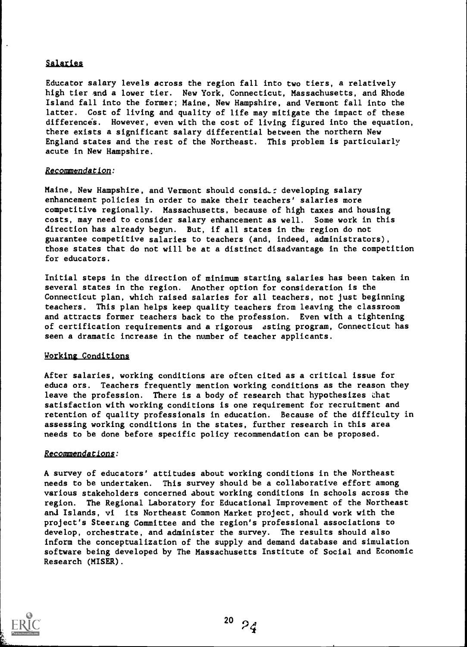## Salaries

Educator salary levels across the region fall into two tiers, a relatively high tier and a lower tier. New York, Connecticut, Massachusetts, and Rhode Island fall into the former; Maine, New Hampshire, and Vermont fall into the latter. Cost of living and quality of life may mitigate the impact of these differences. However, even with the cost of living figured into the equation, there exists a significant salary differential between the northern New England states and the rest of the Northeast. This problem is particularly acute in New Hampshire.

#### Recommendation:

Maine, New Hampshire, and Vermont should consider developing salary enhancement policies in order to make their teachers' salaries more competitive regionally. Massachusetts, because of high taxes and housing costs, may need to consider salary enhancement as well. Some work in this direction has already begun. But, if all states in the region do not guarantee competitive salaries to teachers (and, indeed, administrators), those states that do not will be at a distinct disadvantage in the competition for educators.

Initial steps in the direction of minimum starting salaries has been taken in several states in the region. Another option for consideration is the Connecticut plan, which raised salaries for all teachers, not just beginning teachers. This plan helps keep quality teachers from leaving the classroom and attracts former teachers back to the profession. Even with a tightening of certification requirements and a rigorous asting program, Connecticut has seen a dramatic increase in the number of teacher applicants.

#### Working Conditions

After salaries, working conditions are often cited as a critical issue for educa ors. Teachers frequently mention working conditions as the reason they leave the profession. There is a body of research that hypothesizes chat satisfaction with working conditions is one requirement for recruitment and retention of quality professionals in education. Because of the difficulty in assessing working conditions in the states, further research in this area needs to be done before specific policy recommendation can be proposed.

#### Recommendations:

A survey of educators' attitudes about working conditions in the Northeast needs to be undertaken. This survey should be a collaborative effort among various stakeholders concerned about working conditions in schools across the region. The Regional Laboratory for Educational Improvement of the Northeast and Islands, vi its Northeast Common Market project, should work with the project's Steering Committee and the region's professional associations to develop, orchestrate, and administer the survey. The results should also inform the conceptualization of the supply and demand database and simulation software being developed by The Massachusetts Institute of Social and Economic Research (MISER).

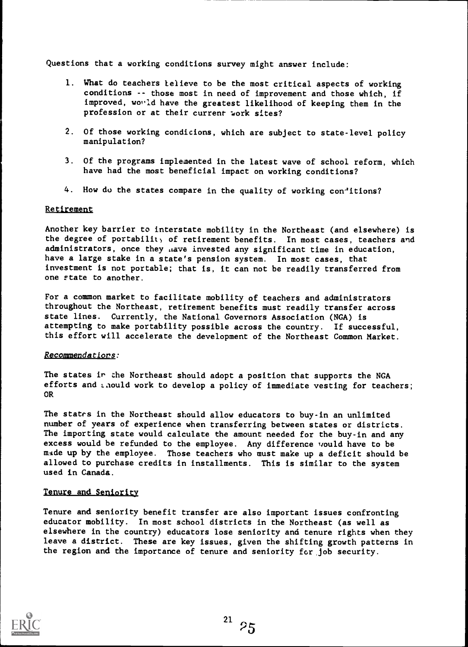Questions that a working conditions survey might answer include:

- 1. What do teachers lelieve to be the most critical aspects of working conditions -- those most in need of improvement and those which, if improved, would have the greatest likelihood of keeping them in the profession or at their current work sites?
- 2. Of those working condicions, which are subject to state-level policy manipulation?
- 3. Of the programs implemented in the latest wave of school reform, which have had the most beneficial impact on working conditions?
- 4. How do the states compare in the quality of working con'itions?

#### Retirement

Another key barrier to interstate mobility in the Northeast (and elsewhere) is the degree of portabilit) of retirement benefits. In most cases, teachers and administrators, once they *nave* invested any significant time in education, have a large stake in a state's pension system. In most cases, that investment is not portable; that is, it can not be readily transferred from one state to another.

For a common market to facilitate mobility of teachers and administrators throughout the Northeast, retirement benefits must readily transfer across state lines. Currently, the National Governors Association (NGA) is attempting to make portability possible across the country. If successful, this effort will accelerate the development of the Northeast Common Market.

#### Recommendations:

The states ir the Northeast should adopt a position that supports the NGA efforts and inould work to develop a policy of immediate vesting for teachers; OR

The states in the Northeast should allow educators to buy-in an unlimited number of years of experience when transferring between states or districts. The importing state would calculate the amount needed for the buy-in and any excess would be refunded to the employee. Any difference vould have to be mide up by the employee. Those teachers who must make up a deficit should be allowed to purchase credits in installments. This is similar to the system used in Canada.

#### Tenure and Seniority

Tenure and seniority benefit transfer are also important issues confronting educator mobility. In most school districts in the Northeast (as well as elsewhere in the country) educators lose seniority and tenure rights when they leave a district. These are key issues, given the shifting growth patterns in the region and the importance of tenure and seniority for job security.

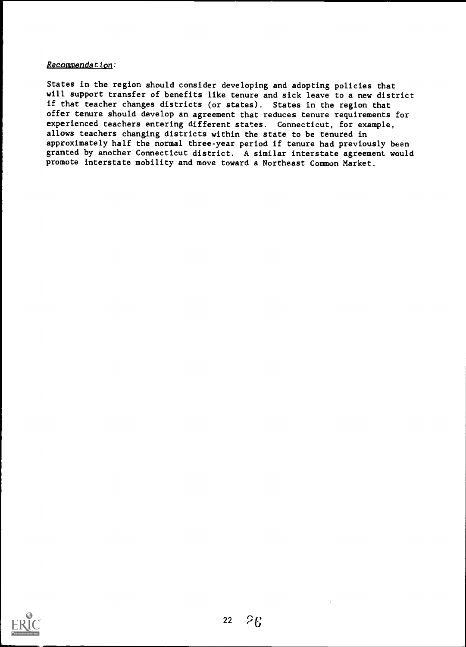## Recommendation:

States in the region should consider developing and adopting policies that will support transfer of benefits like tenure and sick leave to a new district if that teacher changes districts (or states). States in the region that offer tenure should develop an agreement that reduces tenure requirements for experienced teachers entering different states. Connecticut, for example, allows teachers changing districts within the state to be tenured in approximately half the normal three-year period if tenure had previously been granted by another Connecticut district. A similar interstate agreement would promote interstate mobility and move toward a Northeast Common Market.

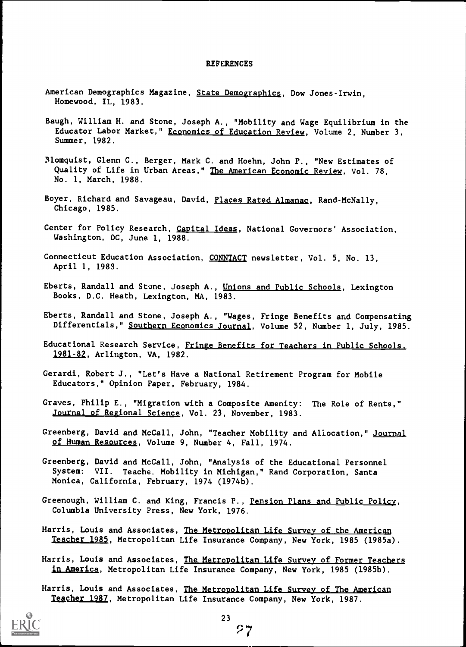#### **REFERENCES**

- American Demographics Magazine, State Demographics, Dow Jones-Irwin, Homewood, IL, 1983.
- Baugh, William H. and Stone, Joseph A., "Mobility and Wage Equilibrium in the Educator Labor Market," Economics of Education Review, Volume 2, Number 3, Summer, 1982.
- 3lomquist, Glenn C., Berger, Mark C. and Hoehn, John P., "New Estimates of Quality of Life in Urban Areas," The American Economic Review, Vol. 78, No. 1, March, 1988.
- Boyer, Richard and Savageau, David, Places Rated Almanac, Rand-McNally, Chicago, 1985.
- Center for Policy Research, Capital Ideas, National Governors' Association, Washington, DC, June 1, 1988.
- Connecticut Education Association, CONNTACT newsletter, Vol. 5, No. 13, April 1, 1985.
- Eberts, Randall and Stone, Joseph A., Unions and Public Schools, Lexington Books, D.C. Heath, Lexington, MA, 1983.
- Eberts, Randall and Stone, Joseph A., "Wages, Fringe Benefits and Compensating Differentials," <u>Southern Economics Journal</u>, Volume 52, Number 1, July, 1985.
- Educational Research Service, Fringe Benefits for Teachers in Public Schools. 1981-82, Arlington, VA, 1982.
- Gerardi, Robert J., "Let's Have a National Retirement Program for Mobile Educators," Opinion Paper, February, 1984.
- Graves, Philip E., "Migration with a Composite Amenity: The Role of Rents," Journal of Regional Science, Vol. 23, November, 1983.
- Greenberg, David and McCall, John, "Teacher Mobility and Allocation," Journal of Human Resources, Volume 9, Number 4, Fall, 1974.
- Greenberg, David and McCall, John, "Analysis of the Educational Personnel System: VII. Teache. Mobility in Michigan," Rand Corporation, Santa Monica, California, February, 1974 (1974b).
- Greenough, William C. and King, Francis P., Pension Plans and Public Policy, Columbia University Press, New York, 1976.
- Harris, Louis and Associates, The Metropolitan Life Survey of the American Teacher 1985, Metropolitan Life Insurance Company, New York, 1985 (1985a).
- Harris, Louis and Associates, The Metropolitan Life Survey of Former Teachers in America, Metropolitan Life Insurance Company, New York, 1985 (1985b).
- Harris, Louis and Associates, The Metropolitan Life Survey of The American Teacher 1987, Metropolitan Life Insurance Company, New York, 1987.



27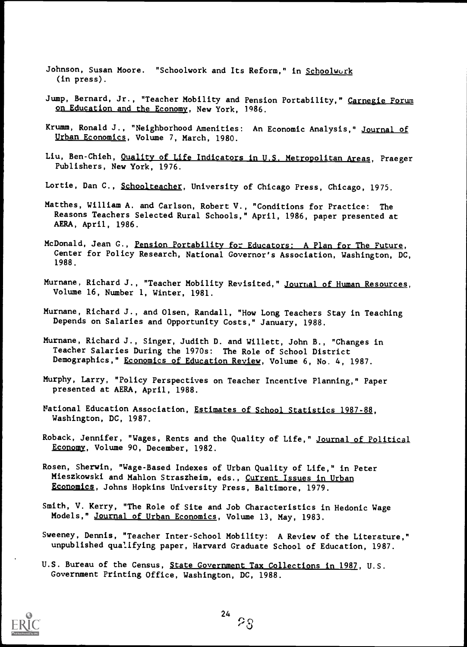- Johnson, Susan Moore. "Schoolwork and Its Reform," in Schoolwork (in press).
- Jump, Bernard, Jr., "Teacher Mobility and Pension Portability," Carnegie Forum on Education and the Economy, New York, 1986.
- Krumm, Ronald J., "Neighborhood Amenities: An Economic Analysis," Journal of Urban Economics, Volume 7, March, 1980.
- Liu, Ben-Chieh, Quality of Life Indicators in U.S. Metropolitan Areas, Praeger Publishers, New York, 1976.
- Lortie, Dan C., Schoolteacher, University of Chicago Press, Chicago, 1975.
- Matthes, William A. and Carlson, Robert V., "Conditions for Practice: The Reasons Teachers Selected Rural Schools," April, 1986, paper presented at AERA, April, 1986.
- McDonald, Jean G., Pension Portability for Educators. A Plan for The Future, Center for Policy Research, National Governor's Association, Washington, DC, 1988.
- Murnane, Richard J., "Teacher Mobility Revisited," <u>Journal of Human Resources</u>, Volume 16, Number 1, Winter, 1981.
- Murnane, Richard J., and Olsen, Randall, "How Long Teachers Stay in Teaching Depends on Salaries and Opportunity Costs," January, 1988.
- Murnane, Richard J., Singer, Judith D. and Willett, John B., "Changes in Teacher Salaries During the 1970s: The Role of School District Demographics," Economics of Education Review, Volume 6, No. 4, 1987.
- Murphy, Larry, "Policy Perspectives on Teacher Incentive Planning," Paper presented at AERA, April, 1988.
- National Education Association, Estimates of School Statistics 1987-88, Washington, DC, 1987.
- Roback, Jennifer, "Wages, Rents and the Quality of Life," Journal of Political Economy, Volume 90, December, 1982.
- Rosen, Sherwin, "Wage-Based Indexes of Urban Quality of Life," in Peter Mieszkowski and Mahlon Straszheim, eds., Current Issues in Urban Economics, Johns Hopkins University Press, Baltimore, 1979.
- Smith, V. Kerry, The Role of Site and Job Characteristics in Hedonic Wage Models," Journal of Urban Economics, Volume 13, May, 1983.
- Sweeney, Dennis, "Teacher Inter-School Mobility: A Review of the Literature," unpublished qualifying paper, Harvard Graduate School of Education, 1987.
- U.S. Bureau of the Census, State Government Tax Collections in 1987, U.S. Government Printing Office, Washington, DC, 1988.

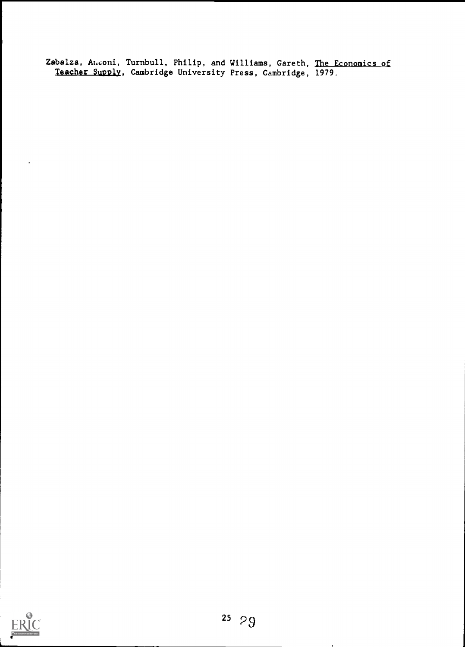Zabalza, A $\iota$ .coni, Turnbull, Philip, and Williams, Gareth, <u>The Economics of</u> Teacher Supply, Cambridge University Press, Cambridge, 1979.

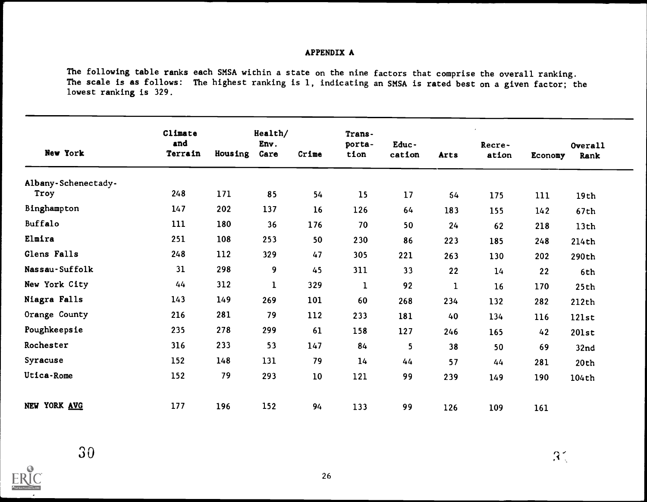## APPENDIX A

The following table ranks each SMSA within a state on the nine factors that comprise the overall ranking. The scale is as follows: The highest ranking is 1, indicating an SMSA is rated best on a given factor; the lowest ranking is 329.

| New York            | Climate<br>and<br>Terrain | Housing | Health/<br>Env.<br>Care | Crime | Trans-<br>porta-<br>tion | Educ-<br>cation | Arts         | Recre-<br>ation | Economy | <b>Overall</b><br>Rank |
|---------------------|---------------------------|---------|-------------------------|-------|--------------------------|-----------------|--------------|-----------------|---------|------------------------|
| Albany-Schenectady- |                           |         |                         |       |                          |                 |              |                 |         |                        |
| Troy                | 248                       | 171     | 85                      | 54    | 15                       | 17              | 54           | 175             | 111     | 19th                   |
| Binghampton         | 147                       | 202     | 137                     | 16    | 126                      | 64              | 183          | 155             | 142     | 67th                   |
| Buffalo             | 111                       | 180     | 36                      | 176   | 70                       | 50              | 24           | 62              | 218     | 13th                   |
| Elmira              | 251                       | 108     | 253                     | 50    | 230                      | 86              | 223          | 185             | 248     | 214th                  |
| Glens Falls         | 248                       | 112     | 329                     | 47    | 305                      | 221             | 263          | 130             | 202     | 290th                  |
| Nassau-Suffolk      | 31                        | 298     | 9                       | 45    | 311                      | 33              | 22           | 14              | 22      | 6th                    |
| New York City       | 44                        | 312     | $\mathbf 1$             | 329   | $\mathbf{1}$             | 92              | $\mathbf{1}$ | 16              | 170     | 25th                   |
| Niagra Falls        | 143                       | 149     | 269                     | 101   | 60                       | 268             | 234          | 132             | 282     | 212th                  |
| Orange County       | 216                       | 281     | 79                      | 112   | 233                      | 181             | 40           | 134             | 116     | 121st                  |
| Poughkeepsie        | 235                       | 278     | 299                     | 61    | 158                      | 127             | 246          | 165             | 42      | 201st                  |
| Rochester           | 316                       | 233     | 53                      | 147   | 84                       | 5               | 38           | 50              | 69      | 32 <sub>nd</sub>       |
| Syracuse            | 152                       | 148     | 131                     | 79    | 14                       | 44              | 57           | 44              | 281     | 20th                   |
| Utica-Rome          | 152                       | 79      | 293                     | 10    | 121                      | 99              | 239          | 149             | 190     | 104th                  |
| NEW YORK AVG        | 177                       | 196     | 152                     | 94    | 133                      | 99              | 126          | 109             | 161     |                        |

 $\sum_{\mathbf{A}_{\text{full}}}\prod_{\text{flat}}\prod_{\text{Fordinal}}$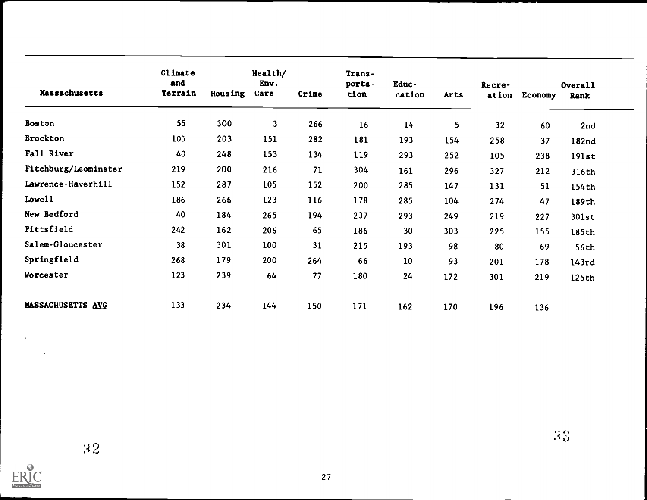| Massachusetts            | Climate<br>and<br>Terrain | Housing | Health/<br>Env.<br>Care | Crime | Trans-<br>porta-<br>tion | Educ-<br>cation | Arts | Recre-<br>ation | Economy | Overall<br>Rank |
|--------------------------|---------------------------|---------|-------------------------|-------|--------------------------|-----------------|------|-----------------|---------|-----------------|
| <b>Boston</b>            | 55                        | 300     | 3                       | 266   | 16                       | 14              | 5    | 32              | 60      | 2nd             |
| <b>Brockton</b>          | 10 <sub>5</sub>           | 203     | 151                     | 282   | 181                      | 193             | 154  | 258             | 37      | 182nd           |
| Fall River               | 40                        | 248     | 153                     | 134   | 119                      | 293             | 252  | 105             | 238     | 191st           |
| Fitchburg/Leominster     | 219                       | 200     | 216                     | 71    | 304                      | 161             | 296  | 327             | 212     | 316th           |
| Lawrence-Haverhill       | 152                       | 287     | 105                     | 152   | 200                      | 285             | 147  | 131             | 51      | 154th           |
| Lowel1                   | 186                       | 266     | 123                     | 116   | 178                      | 285             | 104  | 274             | 47      | 189th           |
| New Bedford              | 40                        | 184     | 265                     | 194   | 237                      | 293             | 249  | 219             | 227     | 301st           |
| Pittsfield               | 242                       | 162     | 206                     | 65    | 186                      | 30              | 303  | 225             | 155     | 185th           |
| Salem-Gloucester         | 38                        | 301     | 100                     | 31    | 215                      | 193             | 98   | 80              | 69      | 56th            |
| Springfield              | 268                       | 179     | 200                     | 264   | 66                       | 10              | 93   | 201             | 178     | 143rd           |
| Worcester                | 123                       | 239     | 64                      | 77    | 180                      | 24              | 172  | 301             | 219     | 125th           |
| <b>MASSACHUSETTS AVG</b> | 133                       | 234     | 144                     | 150   | 171                      | 162             | 170  | 196             | 136     |                 |



 $\lambda$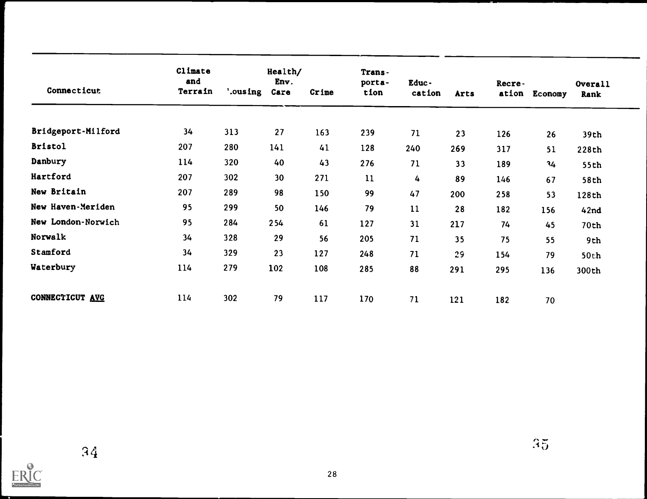| Connecticut        | Climate<br>and<br>Terrain | '.ousing | Health/<br>Env.<br>Care | Crime | Trans-<br>porta-<br>tion | Educ-<br>cation | <b>Arts</b> | Recre-<br>ation | Economy | Overall<br>Rank |
|--------------------|---------------------------|----------|-------------------------|-------|--------------------------|-----------------|-------------|-----------------|---------|-----------------|
| Bridgeport-Milford | 34                        | 313      | 27                      | 163   | 239                      | 71              | 23          | 126             | 26      | 39th            |
| <b>Bristol</b>     | 207                       | 280      | 141                     | 41    | 128                      | 240             | 269         | 317             | 51      | 228th           |
| Danbury            | 114                       | 320      | 40                      | 43    | 276                      | 71              | 33          | 189             | 34      | 55th            |
| Hartford           | 207                       | 302      | 30                      | 271   | 11                       | 4               | 89          | 146             | 67      | 58th            |
| New Britain        | 207                       | 289      | 98                      | 150   | 99                       | 47              | 200         | 258             | 53      | 128th           |
| New Haven-Meriden  | 95                        | 299      | 50                      | 146   | 79                       | 11              | 28          | 182             | 156     | 42nd            |
| New London-Norwich | 95                        | 284      | 254                     | 61    | 127                      | 31              | 217         | 74              | 45      | 70th            |
| Norwalk            | 34                        | 328      | 29                      | 56    | 205                      | 71              | 35          | 75              | 55      | 9th             |
| Stamford           | 34                        | 329      | 23                      | 127   | 248                      | 71              | 29          | 154             | 79      | 50th            |
| Waterbury          | 114                       | 279      | 102                     | 108   | 285                      | 88              | 291         | 295             | 136     | 300th           |
| CONNECTICUT AVG    | 114                       | 302      | 79                      | 117   | 170                      | 71              | 121         | 182             | 70      |                 |

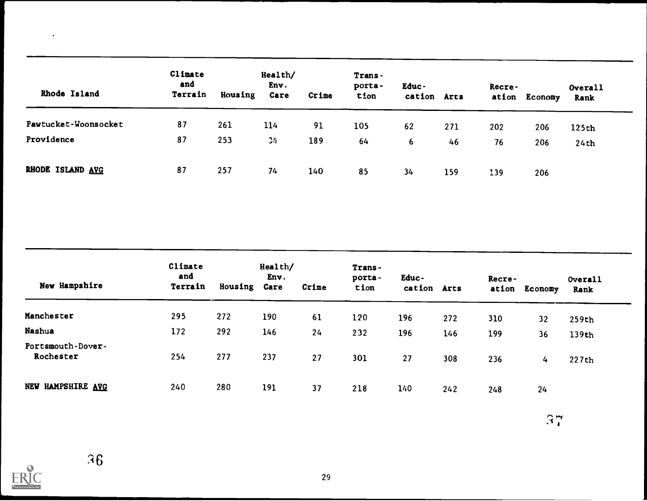| Rhode Island         | Climate<br>and<br>Terrain | Housing | Health/<br>Env.<br>Care | Crime | Trans-<br>porta-<br>tion | Educ-<br>cation Arts |     | Recre- | ation Economy | Overall<br>Rank |
|----------------------|---------------------------|---------|-------------------------|-------|--------------------------|----------------------|-----|--------|---------------|-----------------|
| Pawtucket-Woonsocket | 87                        | 261     | 114                     | 91    | 105                      | 62                   | 271 | 202    | 206           | 125th           |
| Providence           | 87                        | 253     | 34                      | 189   | 64                       | 6                    | 46  | 76     | 206           | 24th            |
| RHODE ISLAND AVG     | 87                        | 257     | 74                      | 140   | 85                       | 34                   | 159 | 139    | 206           |                 |

| New Hampshire                  | Climate<br>and<br>Terrain | Housing | Health/<br>Env.<br>Care | Crime | Trans-<br>porta-<br>tion | Educ-<br>cation Arts |     | Recre- | ation Economy | Overall<br>Rank |
|--------------------------------|---------------------------|---------|-------------------------|-------|--------------------------|----------------------|-----|--------|---------------|-----------------|
| Manchester                     | 295                       | 272     | 190                     | 61    | 120                      | 196                  | 272 | 310    | 32            | 259th           |
| Nashua                         | 172                       | 292     | 146                     | 24    | 232                      | 196                  | 146 | 199    | 36            | 139th           |
| Portsmouth-Dover-<br>Rochester | 254                       | 277     | 237                     | 27    | 301                      | 27                   | 308 | 236    | 4             | 227th           |
| NEW HAMPSHIRE AVG              | 240                       | 280     | 191                     | 37    | 218                      | 140                  | 242 | 248    | 24            |                 |

 $\mathbb{R}^n_+$ 

 $ER_{\text{tot}}^{\text{O}}$ 

 $\bullet$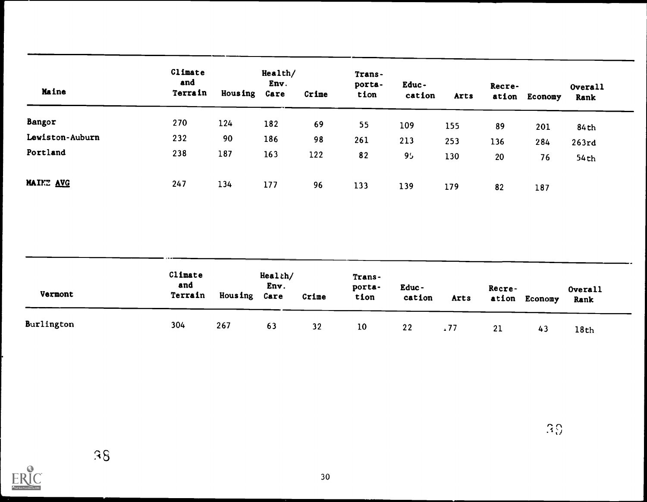|                 | Climate<br>and |                | Health/<br>Env. |       | Trans-<br>porta- | Educ-          |      | Recre- |               | Overall |
|-----------------|----------------|----------------|-----------------|-------|------------------|----------------|------|--------|---------------|---------|
| Maine           | Terrain        | <b>Housing</b> | Care            | Crime | tion             | cation         | Arts |        | ation Economy | Rank    |
| Bangor          | 270            | 124            | 182             | 69    | 55               | 109            | 155  | 89     | 201           | 84th    |
| Lewiston-Auburn | 232            | 90             | 186             | 98    | 261              | 213            | 253  | 136    | 284           | 263rd   |
| Portland        | 238            | 187            | 163             | 122   | 82               | 9 <sub>2</sub> | 130  | 20     | 76            | 54th    |
| MAINE AVG       | 247            | 134            | 177             | 96    | 133              | 139            | 179  | 82     | 187           |         |

| Vermont    | Climate<br>and<br>Terrain | Housing Care | Health/<br>Env. | Crime | Trans-<br>porta-<br>tion | Educ-<br>cation | Arts        | Recre- | ation Economy | Overall<br>Rank |
|------------|---------------------------|--------------|-----------------|-------|--------------------------|-----------------|-------------|--------|---------------|-----------------|
| Burlington | 304                       | 267          | 63              | 32    | 10                       | 22              | $\sqrt{77}$ | 21     | 43            | 18th            |

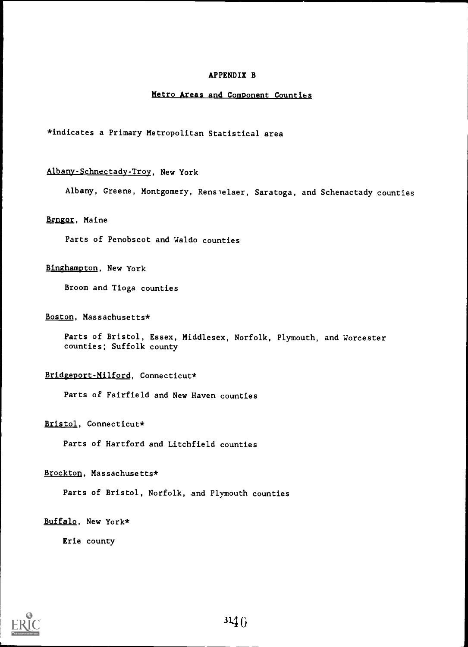### APPENDIX B

#### Metro Areas and Component Counties

\*indicates a Primary Metropolitan Statistical area

## Albany-Schnectady-Troy, New York

Albany, Greene, Montgomery, Renselaer, Saratoga, and Schenactady counties

#### Bengor, Maine

Parts of Penobscot and Waldo counties

#### Binghampton, New York

Broom and Tioga counties

#### Boston, Massachusetts\*

Parts of Bristol, Essex, Middlesex, Norfolk, Plymouth, and Worcester counties; Suffolk county

### Bridgeport-Milford, Connecticut\*

Parts of Fairfield and New Haven counties

#### Bristol, Connecticut\*

Parts of Hartford and Litchfield counties

#### Brockton, Massachusetts\*

Parts of Bristol, Norfolk, and Plymouth counties

#### Buffalo, New York\*

Erie county

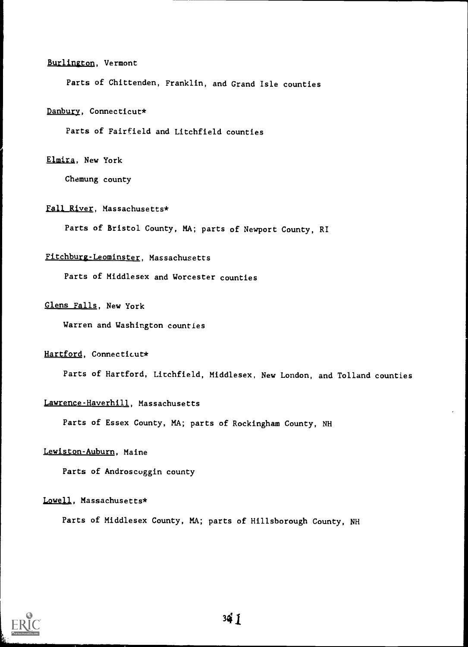#### Burlington, Vermont

Parts of Chittenden, Franklin, and Grand Isle counties

#### Danbury, Connecticut\*

Parts of Fairfield and Litchfield counties

#### Elmira, New York

Chemung county

#### fall River, Massachusetts\*

Parts of Bristol County, MA; parts of Newport County, RI

## Fitchburg-Leominster, Massachusetts

Parts of Middlesex and Worcester counties

## Glens Falls, New York

Warren and Washington counties

#### Hartford, Connecticut\*

Parts of Hartford, Litchfield, Middlesex, New London, and Tolland counties

#### Lawrence-Haverhill, Massachusetts

Parts of Essex County, MA; parts of Rockingham County, NH

#### Lewiston-Auburn, Maine

Parts of Androscoggin county

#### Lowell, Massachusetts\*

Parts of Middlesex County, MA; parts of Hillsborough County, NH

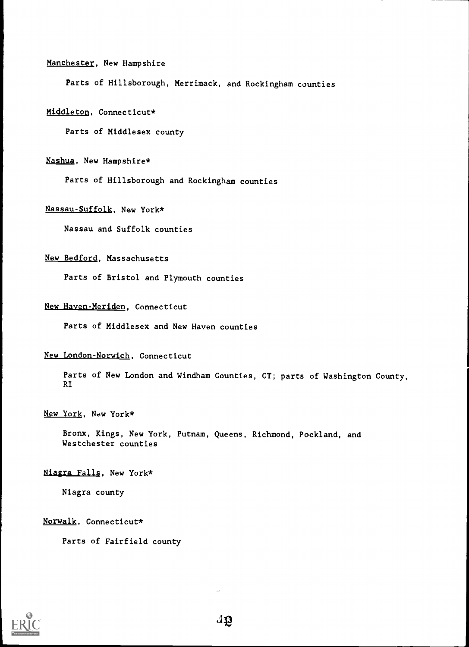## Manchester, New Hampshire

Parts of Hillsborough, Merrimack, and Rockingham counties

## Middleton, Connecticut\*

Parts of Middlesex county

## Nashua, New Hampshire\*

Parts of Hillsborough and Rockingham counties

## Nassau-Suffolk, New York\*

Nassau and Suffolk counties

## New Bedford, Massachusetts

Parts of Bristol and Plymouth counties

## New Haven-Meriden, Connecticut

Parts of Middlesex and New Haven counties

## New London-Norwich, Connecticut

Parts of New London and Windham Counties, CT; parts of Washington County, RI

## New York, New York\*

Bronx, Kings, New York, Putnam, Queens, Richmond, Pockland, and Westchester counties

## Niagra Falls, New York\*

Niagra county

## Norwalk, Connecticut\*

Parts of Fairfield county

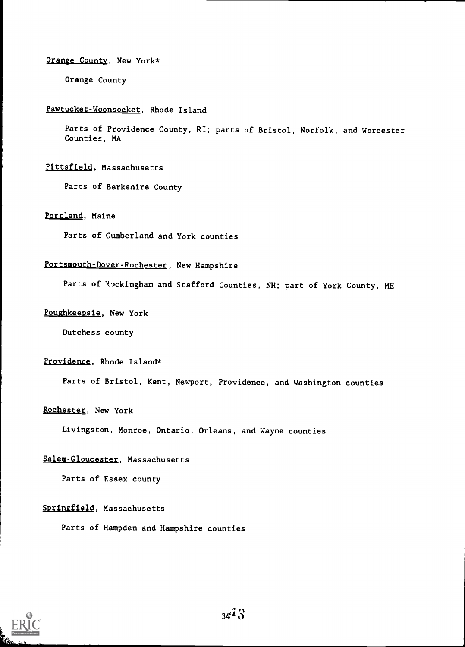#### Orange County, New York\*

Orange County

## Pawtucket-Woonsocket, Rhode Island

Parts of Providence County, RI; parts of Bristol, Norfolk, and Worcester Countiez, MA

## Pittsfield, Massachusetts

Parts of Berksnire County

## Portland, Maine

Parts of Cumberland and York counties

## Portsmouth-Dover-Rochester, New Hampshire

Parts of 'tockingham and Stafford Counties, NH; part of York County, ME

## Poughkeepsie, New York

Dutchess county

#### Providence, Rhode Island\*

Parts of Bristol, Kent, Newport, Providence, and Washington counties

## Rochester, New York

Livingston, Monroe, Ontario, Orleans, and Wayne counties

## Salem-Gloucester, Massachusetts

Parts of Essex county

## Springfield, Massachusetts

Parts of Hampden and Hampshire counties

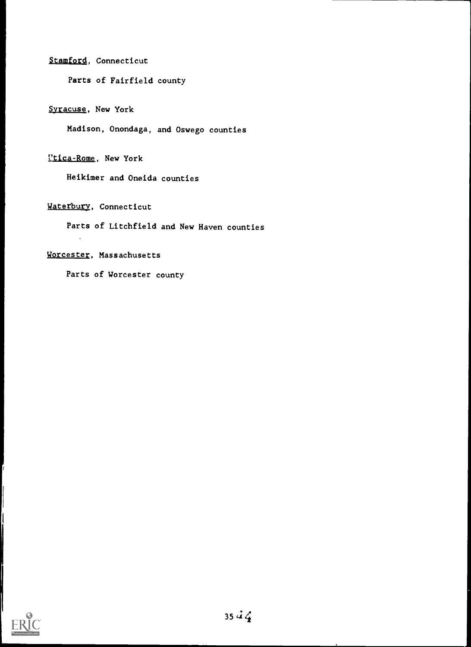## Stamford, Connecticut

Parts of Fairfield county

## Syracuse, New York

Madison, Onondaga, and Oswego counties

## Utica-Rome, New York

Heikimer and Oneida counties

## Waterbury, Connecticut

Parts of Litchfield and New Haven counties

## Worcester, Massachusetts

Parts of Worcester county